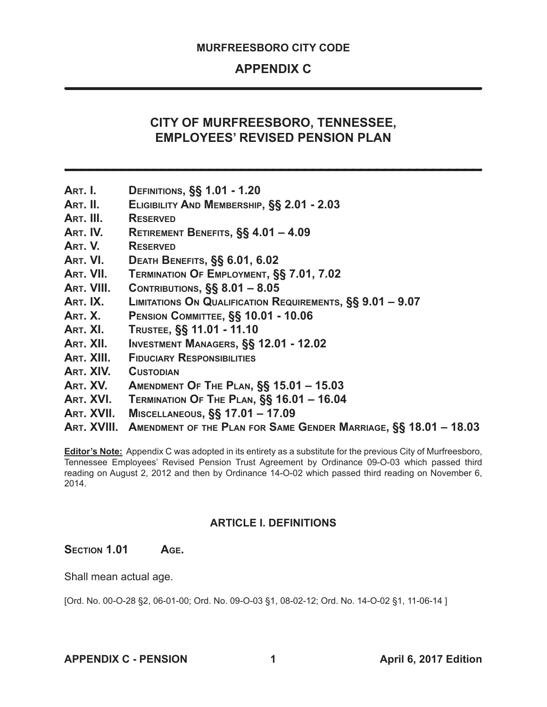# **APPENDIX C**

# **CITY OF MURFREESBORO, TENNESSEE, EMPLOYEES' REVISED PENSION PLAN**

- **Art. I. Definitions, §§ 1.01 1.20**
- **Art. II. Eligibility And Membership, §§ 2.01 2.03**
- **Art. III. Reserved**
- **Art. IV. Retirement Benefits, §§ 4.01 4.09**
- **Art. V. Reserved**
- **Art. VI. Death Benefits, §§ 6.01, 6.02**
- **Art. VII. Termination Of Employment, §§ 7.01, 7.02**
- **Art. VIII. Contributions, §§ 8.01 8.05**
- **Art. IX. Limitations On Qualification Requirements, §§ 9.01 9.07**
- **Art. X. Pension Committee, §§ 10.01 10.06**
- **Art. XI. Trustee, §§ 11.01 11.10**
- **Art. XII. Investment Managers, §§ 12.01 12.02**
- **Art. XIII. Fiduciary Responsibilities**
- **Art. XIV. Custodian**
- **Art. XV. Amendment Of The Plan, §§ 15.01 15.03**
- **Art. XVI. Termination Of The Plan, §§ 16.01 16.04**
- **Art. XVII. Miscellaneous, §§ 17.01 17.09**
- **Art. XVIII. Amendment of the Plan for Same Gender Marriage, §§ 18.01 18.03**

**Editor's Note:** Appendix C was adopted in its entirety as a substitute for the previous City of Murfreesboro, Tennessee Employees' Revised Pension Trust Agreement by Ordinance 09-O-03 which passed third reading on August 2, 2012 and then by Ordinance 14-O-02 which passed third reading on November 6, 2014.

## **ARTICLE I. DEFINITIONS**

#### **Section 1.01 Age.**

Shall mean actual age.

[Ord. No. 00-O-28 §2, 06-01-00; Ord. No. 09-O-03 §1, 08-02-12; Ord. No. 14-O-02 §1, 11-06-14 ]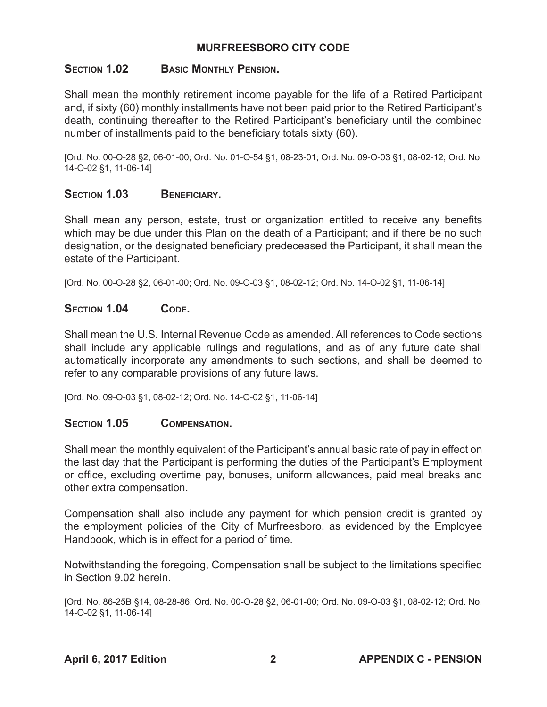## **Section 1.02 Basic Monthly Pension.**

Shall mean the monthly retirement income payable for the life of a Retired Participant and, if sixty (60) monthly installments have not been paid prior to the Retired Participant's death, continuing thereafter to the Retired Participant's beneficiary until the combined number of installments paid to the beneficiary totals sixty (60).

[Ord. No. 00-O-28 §2, 06-01-00; Ord. No. 01-O-54 §1, 08-23-01; Ord. No. 09-O-03 §1, 08-02-12; Ord. No. 14-O-02 §1, 11-06-14]

## SECTION **1.03** BENEFICIARY.

Shall mean any person, estate, trust or organization entitled to receive any benefits which may be due under this Plan on the death of a Participant; and if there be no such designation, or the designated beneficiary predeceased the Participant, it shall mean the estate of the Participant.

[Ord. No. 00-O-28 §2, 06-01-00; Ord. No. 09-O-03 §1, 08-02-12; Ord. No. 14-O-02 §1, 11-06-14]

## SECTION 1.04 CODE.

Shall mean the U.S. Internal Revenue Code as amended. All references to Code sections shall include any applicable rulings and regulations, and as of any future date shall automatically incorporate any amendments to such sections, and shall be deemed to refer to any comparable provisions of any future laws.

[Ord. No. 09-O-03 §1, 08-02-12; Ord. No. 14-O-02 §1, 11-06-14]

## **Section 1.05 Compensation.**

Shall mean the monthly equivalent of the Participant's annual basic rate of pay in effect on the last day that the Participant is performing the duties of the Participant's Employment or office, excluding overtime pay, bonuses, uniform allowances, paid meal breaks and other extra compensation.

Compensation shall also include any payment for which pension credit is granted by the employment policies of the City of Murfreesboro, as evidenced by the Employee Handbook, which is in effect for a period of time.

Notwithstanding the foregoing, Compensation shall be subject to the limitations specified in Section 9.02 herein.

[Ord. No. 86-25B §14, 08-28-86; Ord. No. 00-O-28 §2, 06-01-00; Ord. No. 09-O-03 §1, 08-02-12; Ord. No. 14-O-02 §1, 11-06-14]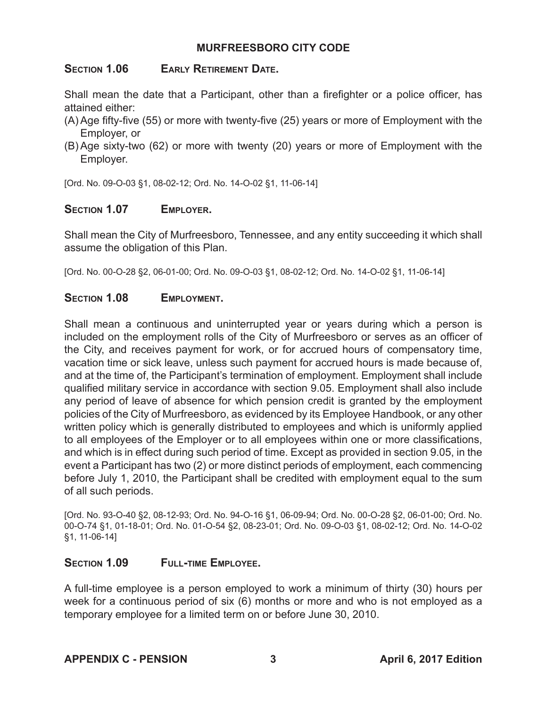## **Section 1.06 Early Retirement Date.**

Shall mean the date that a Participant, other than a firefighter or a police officer, has attained either:

- (A) Age fifty-five (55) or more with twenty-five (25) years or more of Employment with the Employer, or
- (B) Age sixty-two (62) or more with twenty (20) years or more of Employment with the Employer.

[Ord. No. 09-O-03 §1, 08-02-12; Ord. No. 14-O-02 §1, 11-06-14]

## **Section 1.07 Employer.**

Shall mean the City of Murfreesboro, Tennessee, and any entity succeeding it which shall assume the obligation of this Plan.

[Ord. No. 00-O-28 §2, 06-01-00; Ord. No. 09-O-03 §1, 08-02-12; Ord. No. 14-O-02 §1, 11-06-14]

## **Section 1.08 Employment.**

Shall mean a continuous and uninterrupted year or years during which a person is included on the employment rolls of the City of Murfreesboro or serves as an officer of the City, and receives payment for work, or for accrued hours of compensatory time, vacation time or sick leave, unless such payment for accrued hours is made because of, and at the time of, the Participant's termination of employment. Employment shall include qualified military service in accordance with section 9.05. Employment shall also include any period of leave of absence for which pension credit is granted by the employment policies of the City of Murfreesboro, as evidenced by its Employee Handbook, or any other written policy which is generally distributed to employees and which is uniformly applied to all employees of the Employer or to all employees within one or more classifications, and which is in effect during such period of time. Except as provided in section 9.05, in the event a Participant has two (2) or more distinct periods of employment, each commencing before July 1, 2010, the Participant shall be credited with employment equal to the sum of all such periods.

[Ord. No. 93-O-40 §2, 08-12-93; Ord. No. 94-O-16 §1, 06-09-94; Ord. No. 00-O-28 §2, 06-01-00; Ord. No. 00-O-74 §1, 01-18-01; Ord. No. 01-O-54 §2, 08-23-01; Ord. No. 09-O-03 §1, 08-02-12; Ord. No. 14-O-02 §1, 11-06-14]

## SECTION 1.09 FULL-TIME EMPLOYEE.

A full-time employee is a person employed to work a minimum of thirty (30) hours per week for a continuous period of six (6) months or more and who is not employed as a temporary employee for a limited term on or before June 30, 2010.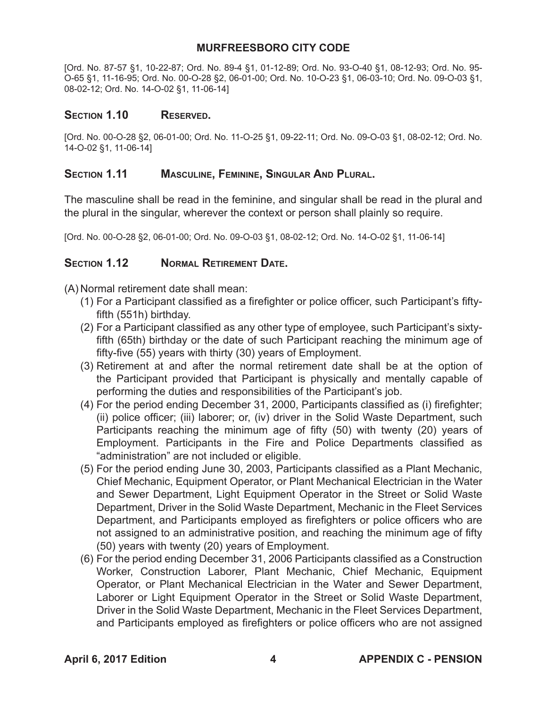[Ord. No. 87-57 §1, 10-22-87; Ord. No. 89-4 §1, 01-12-89; Ord. No. 93-O-40 §1, 08-12-93; Ord. No. 95- O-65 §1, 11-16-95; Ord. No. 00-O-28 §2, 06-01-00; Ord. No. 10-O-23 §1, 06-03-10; Ord. No. 09-O-03 §1, 08-02-12; Ord. No. 14-O-02 §1, 11-06-14]

#### Section **1.10** Reserved.

[Ord. No. 00-O-28 §2, 06-01-00; Ord. No. 11-O-25 §1, 09-22-11; Ord. No. 09-O-03 §1, 08-02-12; Ord. No. 14-O-02 §1, 11-06-14]

#### **Section 1.11 Masculine, Feminine, Singular And Plural.**

The masculine shall be read in the feminine, and singular shall be read in the plural and the plural in the singular, wherever the context or person shall plainly so require.

[Ord. No. 00-O-28 §2, 06-01-00; Ord. No. 09-O-03 §1, 08-02-12; Ord. No. 14-O-02 §1, 11-06-14]

## **Section 1.12 Normal Retirement Date.**

(A) Normal retirement date shall mean:

- (1) For a Participant classified as a firefighter or police officer, such Participant's fiftyfifth (551h) birthday.
- (2) For a Participant classified as any other type of employee, such Participant's sixtyfifth (65th) birthday or the date of such Participant reaching the minimum age of fifty-five (55) years with thirty (30) years of Employment.
- (3) Retirement at and after the normal retirement date shall be at the option of the Participant provided that Participant is physically and mentally capable of performing the duties and responsibilities of the Participant's job.
- (4) For the period ending December 31, 2000, Participants classified as (i) firefighter; (ii) police officer; (iii) laborer; or, (iv) driver in the Solid Waste Department, such Participants reaching the minimum age of fifty (50) with twenty (20) years of Employment. Participants in the Fire and Police Departments classified as "administration" are not included or eligible.
- (5) For the period ending June 30, 2003, Participants classified as a Plant Mechanic, Chief Mechanic, Equipment Operator, or Plant Mechanical Electrician in the Water and Sewer Department, Light Equipment Operator in the Street or Solid Waste Department, Driver in the Solid Waste Department, Mechanic in the Fleet Services Department, and Participants employed as firefighters or police officers who are not assigned to an administrative position, and reaching the minimum age of fifty (50) years with twenty (20) years of Employment.
- (6) For the period ending December 31, 2006 Participants classified as a Construction Worker, Construction Laborer, Plant Mechanic, Chief Mechanic, Equipment Operator, or Plant Mechanical Electrician in the Water and Sewer Department, Laborer or Light Equipment Operator in the Street or Solid Waste Department, Driver in the Solid Waste Department, Mechanic in the Fleet Services Department, and Participants employed as firefighters or police officers who are not assigned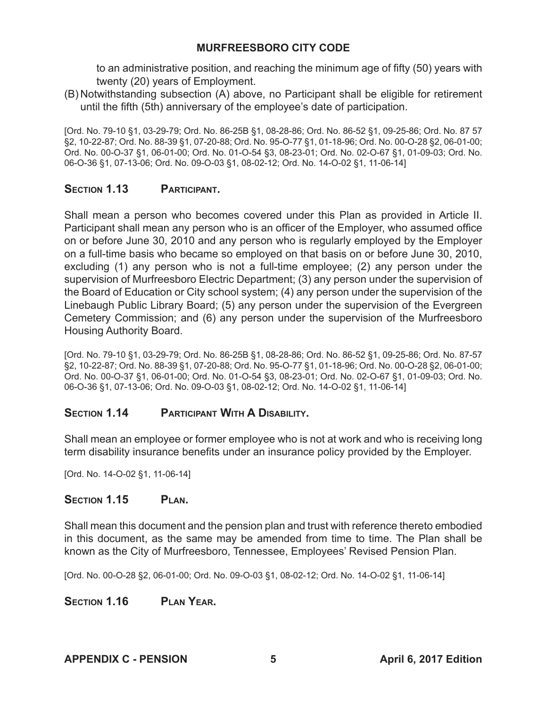to an administrative position, and reaching the minimum age of fifty (50) years with twenty (20) years of Employment.

(B) Notwithstanding subsection (A) above, no Participant shall be eligible for retirement until the fifth (5th) anniversary of the employee's date of participation.

[Ord. No. 79-10 §1, 03-29-79; Ord. No. 86-25B §1, 08-28-86; Ord. No. 86-52 §1, 09-25-86; Ord. No. 87 57 §2, 10-22-87; Ord. No. 88-39 §1, 07-20-88; Ord. No. 95-O-77 §1, 01-18-96; Ord. No. 00-O-28 §2, 06-01-00; Ord. No. 00-O-37 §1, 06-01-00; Ord. No. 01-O-54 §3, 08-23-01; Ord. No. 02-O-67 §1, 01-09-03; Ord. No. 06-O-36 §1, 07-13-06; Ord. No. 09-O-03 §1, 08-02-12; Ord. No. 14-O-02 §1, 11-06-14]

## **Section 1.13 Participant.**

Shall mean a person who becomes covered under this Plan as provided in Article II. Participant shall mean any person who is an officer of the Employer, who assumed office on or before June 30, 2010 and any person who is regularly employed by the Employer on a full-time basis who became so employed on that basis on or before June 30, 2010, excluding (1) any person who is not a full-time employee; (2) any person under the supervision of Murfreesboro Electric Department; (3) any person under the supervision of the Board of Education or City school system; (4) any person under the supervision of the Linebaugh Public Library Board; (5) any person under the supervision of the Evergreen Cemetery Commission; and (6) any person under the supervision of the Murfreesboro Housing Authority Board.

[Ord. No. 79-10 §1, 03-29-79; Ord. No. 86-25B §1, 08-28-86; Ord. No. 86-52 §1, 09-25-86; Ord. No. 87-57 §2, 10-22-87; Ord. No. 88-39 §1, 07-20-88; Ord. No. 95-O-77 §1, 01-18-96; Ord. No. 00-O-28 §2, 06-01-00; Ord. No. 00-O-37 §1, 06-01-00; Ord. No. 01-O-54 §3, 08-23-01; Ord. No. 02-O-67 §1, 01-09-03; Ord. No. 06-O-36 §1, 07-13-06; Ord. No. 09-O-03 §1, 08-02-12; Ord. No. 14-O-02 §1, 11-06-14]

## SECTION **1.14** PARTICIPANT WITH A DISABILITY.

Shall mean an employee or former employee who is not at work and who is receiving long term disability insurance benefits under an insurance policy provided by the Employer.

[Ord. No. 14-O-02 §1, 11-06-14]

## SECTION 1.15 PLAN.

Shall mean this document and the pension plan and trust with reference thereto embodied in this document, as the same may be amended from time to time. The Plan shall be known as the City of Murfreesboro, Tennessee, Employees' Revised Pension Plan.

[Ord. No. 00-O-28 §2, 06-01-00; Ord. No. 09-O-03 §1, 08-02-12; Ord. No. 14-O-02 §1, 11-06-14]

**Section 1.16 Plan Year.**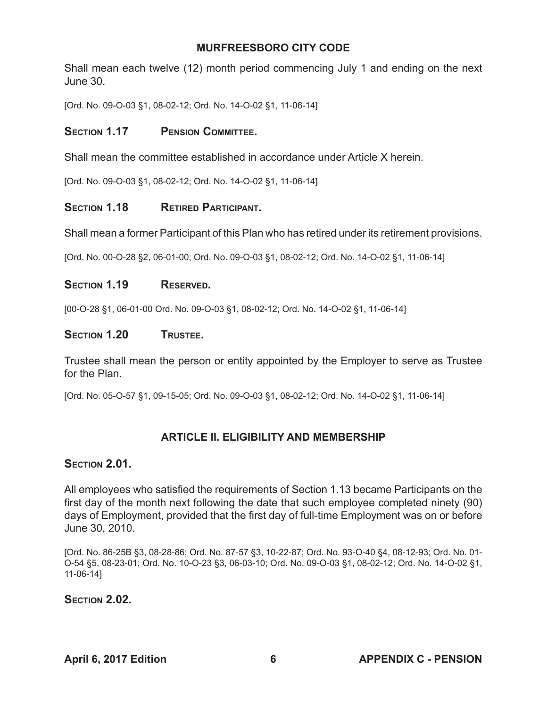Shall mean each twelve (12) month period commencing July 1 and ending on the next June 30.

[Ord. No. 09-O-03 §1, 08-02-12; Ord. No. 14-O-02 §1, 11-06-14]

## SECTION 1.17 PENSION COMMITTEE.

Shall mean the committee established in accordance under Article X herein.

[Ord. No. 09-O-03 §1, 08-02-12; Ord. No. 14-O-02 §1, 11-06-14]

## SECTION **1.18** RETIRED PARTICIPANT.

Shall mean a former Participant of this Plan who has retired under its retirement provisions.

[Ord. No. 00-O-28 §2, 06-01-00; Ord. No. 09-O-03 §1, 08-02-12; Ord. No. 14-O-02 §1, 11-06-14]

#### SECTION 1.19 RESERVED.

[00-O-28 §1, 06-01-00 Ord. No. 09-O-03 §1, 08-02-12; Ord. No. 14-O-02 §1, 11-06-14]

#### SECTION 1.20 **TRUSTEE.**

Trustee shall mean the person or entity appointed by the Employer to serve as Trustee for the Plan.

[Ord. No. 05-O-57 §1, 09-15-05; Ord. No. 09-O-03 §1, 08-02-12; Ord. No. 14-O-02 §1, 11-06-14]

## **ARTICLE II. ELIGIBILITY AND MEMBERSHIP**

## **Section 2.01.**

All employees who satisfied the requirements of Section 1.13 became Participants on the first day of the month next following the date that such employee completed ninety (90) days of Employment, provided that the first day of full-time Employment was on or before June 30, 2010.

[Ord. No. 86-25B §3, 08-28-86; Ord. No. 87-57 §3, 10-22-87; Ord. No. 93-O-40 §4, 08-12-93; Ord. No. 01- O-54 §5, 08-23-01; Ord. No. 10-O-23 §3, 06-03-10; Ord. No. 09-O-03 §1, 08-02-12; Ord. No. 14-O-02 §1, 11-06-14]

## **Section 2.02.**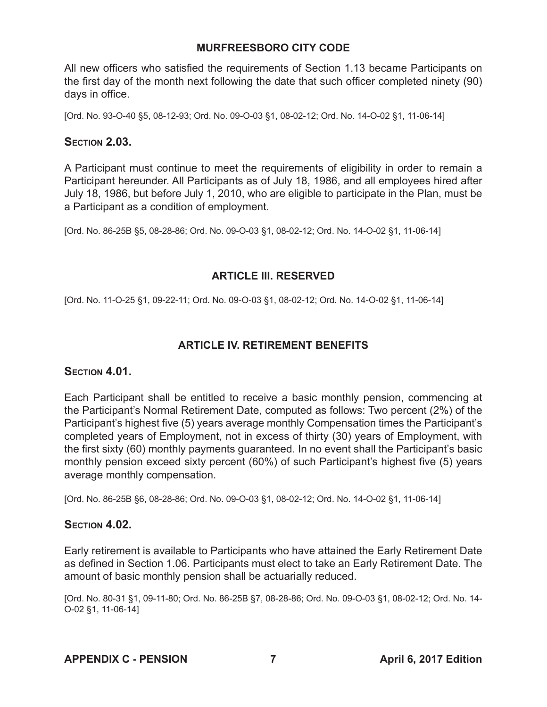All new officers who satisfied the requirements of Section 1.13 became Participants on the first day of the month next following the date that such officer completed ninety (90) days in office.

[Ord. No. 93-O-40 §5, 08-12-93; Ord. No. 09-O-03 §1, 08-02-12; Ord. No. 14-O-02 §1, 11-06-14]

## **Section 2.03.**

A Participant must continue to meet the requirements of eligibility in order to remain a Participant hereunder. All Participants as of July 18, 1986, and all employees hired after July 18, 1986, but before July 1, 2010, who are eligible to participate in the Plan, must be a Participant as a condition of employment.

[Ord. No. 86-25B §5, 08-28-86; Ord. No. 09-O-03 §1, 08-02-12; Ord. No. 14-O-02 §1, 11-06-14]

## **ARTICLE III. RESERVED**

[Ord. No. 11-O-25 §1, 09-22-11; Ord. No. 09-O-03 §1, 08-02-12; Ord. No. 14-O-02 §1, 11-06-14]

## **ARTICLE IV. RETIREMENT BENEFITS**

## **Section 4.01.**

Each Participant shall be entitled to receive a basic monthly pension, commencing at the Participant's Normal Retirement Date, computed as follows: Two percent (2%) of the Participant's highest five (5) years average monthly Compensation times the Participant's completed years of Employment, not in excess of thirty (30) years of Employment, with the first sixty (60) monthly payments guaranteed. In no event shall the Participant's basic monthly pension exceed sixty percent (60%) of such Participant's highest five (5) years average monthly compensation.

[Ord. No. 86-25B §6, 08-28-86; Ord. No. 09-O-03 §1, 08-02-12; Ord. No. 14-O-02 §1, 11-06-14]

## **Section 4.02.**

Early retirement is available to Participants who have attained the Early Retirement Date as defined in Section 1.06. Participants must elect to take an Early Retirement Date. The amount of basic monthly pension shall be actuarially reduced.

[Ord. No. 80-31 §1, 09-11-80; Ord. No. 86-25B §7, 08-28-86; Ord. No. 09-O-03 §1, 08-02-12; Ord. No. 14- O-02 §1, 11-06-14]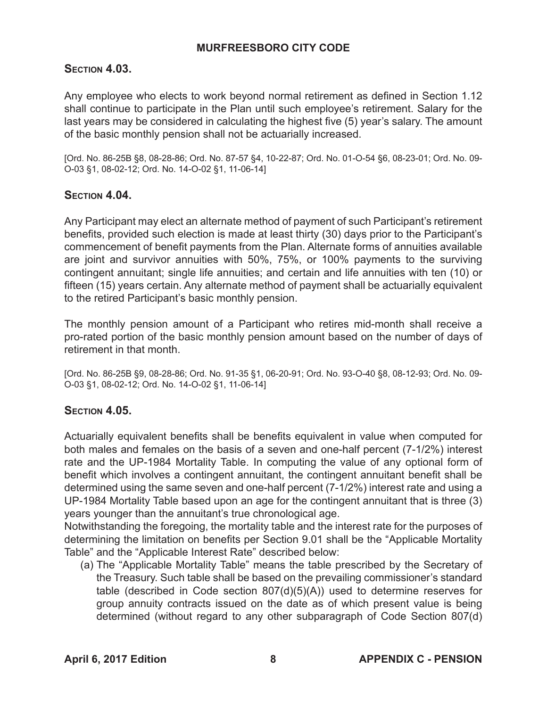## **Section 4.03.**

Any employee who elects to work beyond normal retirement as defined in Section 1.12 shall continue to participate in the Plan until such employee's retirement. Salary for the last years may be considered in calculating the highest five (5) year's salary. The amount of the basic monthly pension shall not be actuarially increased.

[Ord. No. 86-25B §8, 08-28-86; Ord. No. 87-57 §4, 10-22-87; Ord. No. 01-O-54 §6, 08-23-01; Ord. No. 09- O-03 §1, 08-02-12; Ord. No. 14-O-02 §1, 11-06-14]

## **Section 4.04.**

Any Participant may elect an alternate method of payment of such Participant's retirement benefits, provided such election is made at least thirty (30) days prior to the Participant's commencement of benefit payments from the Plan. Alternate forms of annuities available are joint and survivor annuities with 50%, 75%, or 100% payments to the surviving contingent annuitant; single life annuities; and certain and life annuities with ten (10) or fifteen (15) years certain. Any alternate method of payment shall be actuarially equivalent to the retired Participant's basic monthly pension.

The monthly pension amount of a Participant who retires mid-month shall receive a pro-rated portion of the basic monthly pension amount based on the number of days of retirement in that month.

[Ord. No. 86-25B §9, 08-28-86; Ord. No. 91-35 §1, 06-20-91; Ord. No. 93-O-40 §8, 08-12-93; Ord. No. 09- O-03 §1, 08-02-12; Ord. No. 14-O-02 §1, 11-06-14]

## **Section 4.05.**

Actuarially equivalent benefits shall be benefits equivalent in value when computed for both males and females on the basis of a seven and one-half percent (7-1/2%) interest rate and the UP-1984 Mortality Table. In computing the value of any optional form of benefit which involves a contingent annuitant, the contingent annuitant benefit shall be determined using the same seven and one-half percent (7-1/2%) interest rate and using a UP-1984 Mortality Table based upon an age for the contingent annuitant that is three (3) years younger than the annuitant's true chronological age.

Notwithstanding the foregoing, the mortality table and the interest rate for the purposes of determining the limitation on benefits per Section 9.01 shall be the "Applicable Mortality Table" and the "Applicable Interest Rate" described below:

(a) The "Applicable Mortality Table" means the table prescribed by the Secretary of the Treasury. Such table shall be based on the prevailing commissioner's standard table (described in Code section 807(d)(5)(A)) used to determine reserves for group annuity contracts issued on the date as of which present value is being determined (without regard to any other subparagraph of Code Section 807(d)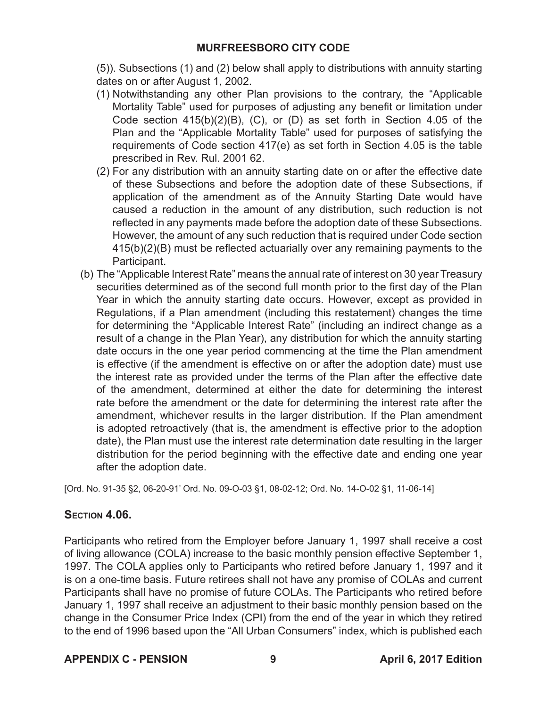(5)). Subsections (1) and (2) below shall apply to distributions with annuity starting dates on or after August 1, 2002.

- (1) Notwithstanding any other Plan provisions to the contrary, the "Applicable Mortality Table" used for purposes of adjusting any benefit or limitation under Code section  $415(b)(2)(B)$ , (C), or (D) as set forth in Section 4.05 of the Plan and the "Applicable Mortality Table" used for purposes of satisfying the requirements of Code section 417(e) as set forth in Section 4.05 is the table prescribed in Rev. Rul. 2001 62.
- (2) For any distribution with an annuity starting date on or after the effective date of these Subsections and before the adoption date of these Subsections, if application of the amendment as of the Annuity Starting Date would have caused a reduction in the amount of any distribution, such reduction is not reflected in any payments made before the adoption date of these Subsections. However, the amount of any such reduction that is required under Code section 415(b)(2)(B) must be reflected actuarially over any remaining payments to the Participant.
- (b) The "Applicable Interest Rate" means the annual rate of interest on 30 year Treasury securities determined as of the second full month prior to the first day of the Plan Year in which the annuity starting date occurs. However, except as provided in Regulations, if a Plan amendment (including this restatement) changes the time for determining the "Applicable Interest Rate" (including an indirect change as a result of a change in the Plan Year), any distribution for which the annuity starting date occurs in the one year period commencing at the time the Plan amendment is effective (if the amendment is effective on or after the adoption date) must use the interest rate as provided under the terms of the Plan after the effective date of the amendment, determined at either the date for determining the interest rate before the amendment or the date for determining the interest rate after the amendment, whichever results in the larger distribution. If the Plan amendment is adopted retroactively (that is, the amendment is effective prior to the adoption date), the Plan must use the interest rate determination date resulting in the larger distribution for the period beginning with the effective date and ending one year after the adoption date.

[Ord. No. 91-35 §2, 06-20-91' Ord. No. 09-O-03 §1, 08-02-12; Ord. No. 14-O-02 §1, 11-06-14]

# **Section 4.06.**

Participants who retired from the Employer before January 1, 1997 shall receive a cost of living allowance (COLA) increase to the basic monthly pension effective September 1, 1997. The COLA applies only to Participants who retired before January 1, 1997 and it is on a one-time basis. Future retirees shall not have any promise of COLAs and current Participants shall have no promise of future COLAs. The Participants who retired before January 1, 1997 shall receive an adjustment to their basic monthly pension based on the change in the Consumer Price Index (CPI) from the end of the year in which they retired to the end of 1996 based upon the "All Urban Consumers" index, which is published each

## **APPENDIX C - PENSION 9 April 6, 2017 Edition**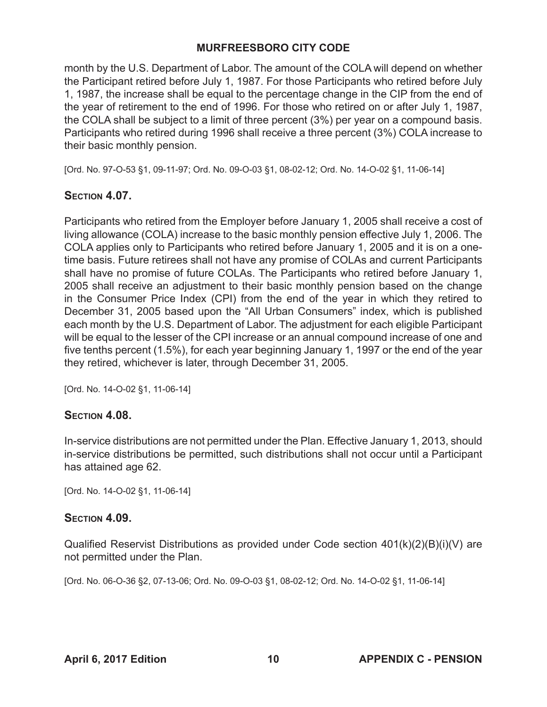month by the U.S. Department of Labor. The amount of the COLA will depend on whether the Participant retired before July 1, 1987. For those Participants who retired before July 1, 1987, the increase shall be equal to the percentage change in the CIP from the end of the year of retirement to the end of 1996. For those who retired on or after July 1, 1987, the COLA shall be subject to a limit of three percent (3%) per year on a compound basis. Participants who retired during 1996 shall receive a three percent (3%) COLA increase to their basic monthly pension.

[Ord. No. 97-O-53 §1, 09-11-97; Ord. No. 09-O-03 §1, 08-02-12; Ord. No. 14-O-02 §1, 11-06-14]

## **Section 4.07.**

Participants who retired from the Employer before January 1, 2005 shall receive a cost of living allowance (COLA) increase to the basic monthly pension effective July 1, 2006. The COLA applies only to Participants who retired before January 1, 2005 and it is on a onetime basis. Future retirees shall not have any promise of COLAs and current Participants shall have no promise of future COLAs. The Participants who retired before January 1, 2005 shall receive an adjustment to their basic monthly pension based on the change in the Consumer Price Index (CPI) from the end of the year in which they retired to December 31, 2005 based upon the "All Urban Consumers" index, which is published each month by the U.S. Department of Labor. The adjustment for each eligible Participant will be equal to the lesser of the CPI increase or an annual compound increase of one and five tenths percent (1.5%), for each year beginning January 1, 1997 or the end of the year they retired, whichever is later, through December 31, 2005.

[Ord. No. 14-O-02 §1, 11-06-14]

## **Section 4.08.**

In-service distributions are not permitted under the Plan. Effective January 1, 2013, should in-service distributions be permitted, such distributions shall not occur until a Participant has attained age 62.

[Ord. No. 14-O-02 §1, 11-06-14]

## **Section 4.09.**

Qualified Reservist Distributions as provided under Code section  $401(k)(2)(B)(i)(V)$  are not permitted under the Plan.

[Ord. No. 06-O-36 §2, 07-13-06; Ord. No. 09-O-03 §1, 08-02-12; Ord. No. 14-O-02 §1, 11-06-14]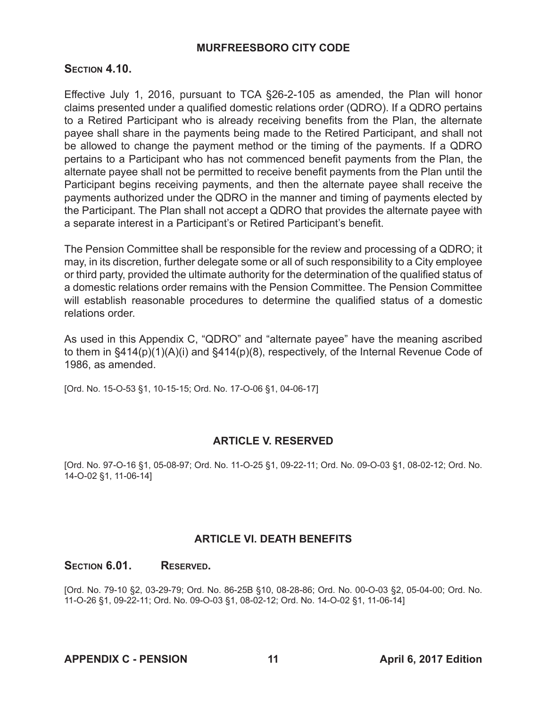## **Section 4.10.**

Effective July 1, 2016, pursuant to TCA §26-2-105 as amended, the Plan will honor claims presented under a qualified domestic relations order (QDRO). If a QDRO pertains to a Retired Participant who is already receiving benefits from the Plan, the alternate payee shall share in the payments being made to the Retired Participant, and shall not be allowed to change the payment method or the timing of the payments. If a QDRO pertains to a Participant who has not commenced benefit payments from the Plan, the alternate payee shall not be permitted to receive benefit payments from the Plan until the Participant begins receiving payments, and then the alternate payee shall receive the payments authorized under the QDRO in the manner and timing of payments elected by the Participant. The Plan shall not accept a QDRO that provides the alternate payee with a separate interest in a Participant's or Retired Participant's benefit.

The Pension Committee shall be responsible for the review and processing of a QDRO; it may, in its discretion, further delegate some or all of such responsibility to a City employee or third party, provided the ultimate authority for the determination of the qualified status of a domestic relations order remains with the Pension Committee. The Pension Committee will establish reasonable procedures to determine the qualified status of a domestic relations order.

As used in this Appendix C, "QDRO" and "alternate payee" have the meaning ascribed to them in §414(p)(1)(A)(i) and §414(p)(8), respectively, of the Internal Revenue Code of 1986, as amended.

[Ord. No. 15-O-53 §1, 10-15-15; Ord. No. 17-O-06 §1, 04-06-17]

## **ARTICLE V. RESERVED**

[Ord. No. 97-O-16 §1, 05-08-97; Ord. No. 11-O-25 §1, 09-22-11; Ord. No. 09-O-03 §1, 08-02-12; Ord. No. 14-O-02 §1, 11-06-14]

## **ARTICLE VI. DEATH BENEFITS**

## Section **6.01.** Reserved.

[Ord. No. 79-10 §2, 03-29-79; Ord. No. 86-25B §10, 08-28-86; Ord. No. 00-O-03 §2, 05-04-00; Ord. No. 11-O-26 §1, 09-22-11; Ord. No. 09-O-03 §1, 08-02-12; Ord. No. 14-O-02 §1, 11-06-14]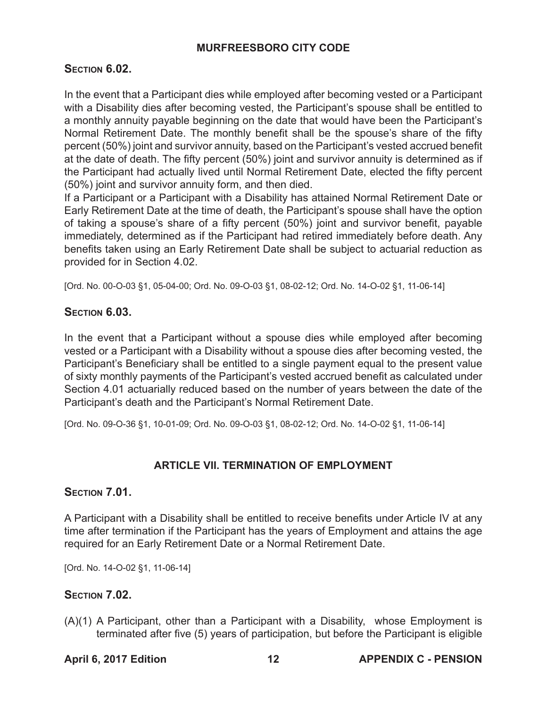## **Section 6.02.**

In the event that a Participant dies while employed after becoming vested or a Participant with a Disability dies after becoming vested, the Participant's spouse shall be entitled to a monthly annuity payable beginning on the date that would have been the Participant's Normal Retirement Date. The monthly benefit shall be the spouse's share of the fifty percent (50%) joint and survivor annuity, based on the Participant's vested accrued benefit at the date of death. The fifty percent (50%) joint and survivor annuity is determined as if the Participant had actually lived until Normal Retirement Date, elected the fifty percent (50%) joint and survivor annuity form, and then died.

If a Participant or a Participant with a Disability has attained Normal Retirement Date or Early Retirement Date at the time of death, the Participant's spouse shall have the option of taking a spouse's share of a fifty percent (50%) joint and survivor benefit, payable immediately, determined as if the Participant had retired immediately before death. Any benefits taken using an Early Retirement Date shall be subject to actuarial reduction as provided for in Section 4.02.

[Ord. No. 00-O-03 §1, 05-04-00; Ord. No. 09-O-03 §1, 08-02-12; Ord. No. 14-O-02 §1, 11-06-14]

## **Section 6.03.**

In the event that a Participant without a spouse dies while employed after becoming vested or a Participant with a Disability without a spouse dies after becoming vested, the Participant's Beneficiary shall be entitled to a single payment equal to the present value of sixty monthly payments of the Participant's vested accrued benefit as calculated under Section 4.01 actuarially reduced based on the number of years between the date of the Participant's death and the Participant's Normal Retirement Date.

[Ord. No. 09-O-36 §1, 10-01-09; Ord. No. 09-O-03 §1, 08-02-12; Ord. No. 14-O-02 §1, 11-06-14]

## **ARTICLE VII. TERMINATION OF EMPLOYMENT**

## **Section 7.01.**

A Participant with a Disability shall be entitled to receive benefits under Article IV at any time after termination if the Participant has the years of Employment and attains the age required for an Early Retirement Date or a Normal Retirement Date.

[Ord. No. 14-O-02 §1, 11-06-14]

## **Section 7.02.**

(A)(1) A Participant, other than a Participant with a Disability, whose Employment is terminated after five (5) years of participation, but before the Participant is eligible

## **April 6, 2017 Edition 12 APPENDIX C - PENSION**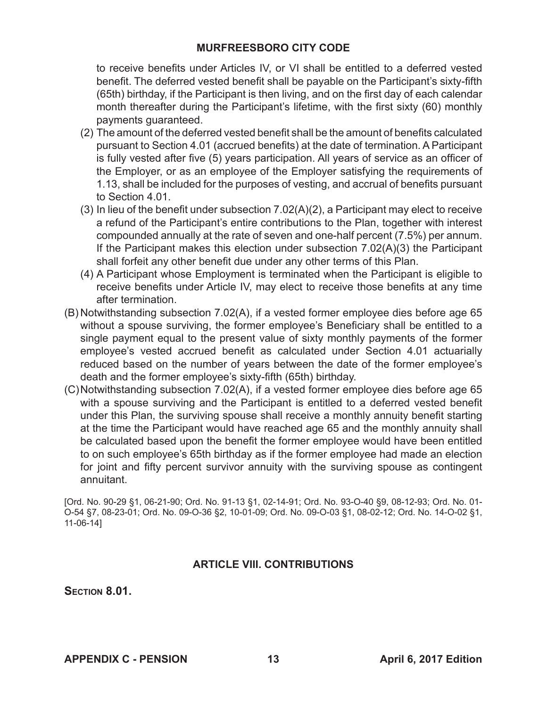to receive benefits under Articles IV, or VI shall be entitled to a deferred vested benefit. The deferred vested benefit shall be payable on the Participant's sixty-fifth (65th) birthday, if the Participant is then living, and on the first day of each calendar month thereafter during the Participant's lifetime, with the first sixty (60) monthly payments guaranteed.

- (2) The amount of the deferred vested benefit shall be the amount of benefits calculated pursuant to Section 4.01 (accrued benefits) at the date of termination. A Participant is fully vested after five (5) years participation. All years of service as an officer of the Employer, or as an employee of the Employer satisfying the requirements of 1.13, shall be included for the purposes of vesting, and accrual of benefits pursuant to Section 4.01.
- (3) In lieu of the benefit under subsection 7.02(A)(2), a Participant may elect to receive a refund of the Participant's entire contributions to the Plan, together with interest compounded annually at the rate of seven and one-half percent (7.5%) per annum. If the Participant makes this election under subsection 7.02(A)(3) the Participant shall forfeit any other benefit due under any other terms of this Plan.
- (4) A Participant whose Employment is terminated when the Participant is eligible to receive benefits under Article IV, may elect to receive those benefits at any time after termination.
- (B) Notwithstanding subsection 7.02(A), if a vested former employee dies before age 65 without a spouse surviving, the former employee's Beneficiary shall be entitled to a single payment equal to the present value of sixty monthly payments of the former employee's vested accrued benefit as calculated under Section 4.01 actuarially reduced based on the number of years between the date of the former employee's death and the former employee's sixty-fifth (65th) birthday.
- (C)Notwithstanding subsection 7.02(A), if a vested former employee dies before age 65 with a spouse surviving and the Participant is entitled to a deferred vested benefit under this Plan, the surviving spouse shall receive a monthly annuity benefit starting at the time the Participant would have reached age 65 and the monthly annuity shall be calculated based upon the benefit the former employee would have been entitled to on such employee's 65th birthday as if the former employee had made an election for joint and fifty percent survivor annuity with the surviving spouse as contingent annuitant.

[Ord. No. 90-29 §1, 06-21-90; Ord. No. 91-13 §1, 02-14-91; Ord. No. 93-O-40 §9, 08-12-93; Ord. No. 01- O-54 §7, 08-23-01; Ord. No. 09-O-36 §2, 10-01-09; Ord. No. 09-O-03 §1, 08-02-12; Ord. No. 14-O-02 §1, 11-06-14]

## **ARTICLE VIII. CONTRIBUTIONS**

**Section 8.01.**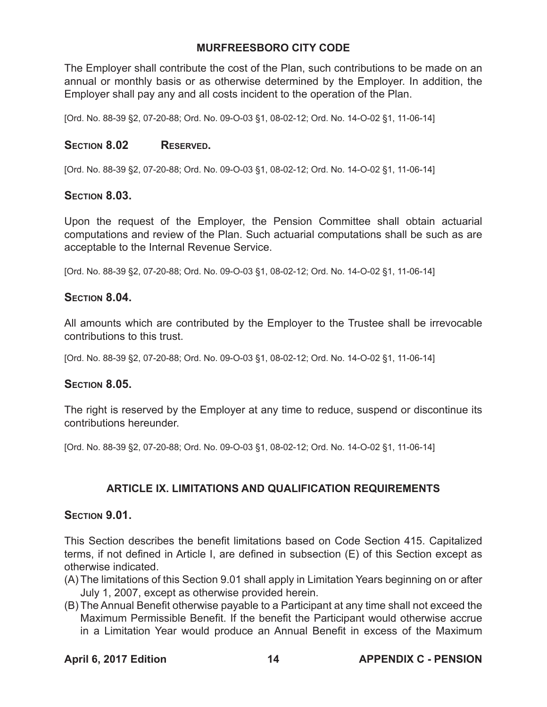The Employer shall contribute the cost of the Plan, such contributions to be made on an annual or monthly basis or as otherwise determined by the Employer. In addition, the Employer shall pay any and all costs incident to the operation of the Plan.

[Ord. No. 88-39 §2, 07-20-88; Ord. No. 09-O-03 §1, 08-02-12; Ord. No. 14-O-02 §1, 11-06-14]

## SECTION 8.02 RESERVED.

[Ord. No. 88-39 §2, 07-20-88; Ord. No. 09-O-03 §1, 08-02-12; Ord. No. 14-O-02 §1, 11-06-14]

## **Section 8.03.**

Upon the request of the Employer, the Pension Committee shall obtain actuarial computations and review of the Plan. Such actuarial computations shall be such as are acceptable to the Internal Revenue Service.

[Ord. No. 88-39 §2, 07-20-88; Ord. No. 09-O-03 §1, 08-02-12; Ord. No. 14-O-02 §1, 11-06-14]

## **Section 8.04.**

All amounts which are contributed by the Employer to the Trustee shall be irrevocable contributions to this trust.

[Ord. No. 88-39 §2, 07-20-88; Ord. No. 09-O-03 §1, 08-02-12; Ord. No. 14-O-02 §1, 11-06-14]

## **Section 8.05.**

The right is reserved by the Employer at any time to reduce, suspend or discontinue its contributions hereunder.

[Ord. No. 88-39 §2, 07-20-88; Ord. No. 09-O-03 §1, 08-02-12; Ord. No. 14-O-02 §1, 11-06-14]

## **ARTICLE IX. LIMITATIONS AND QUALIFICATION REQUIREMENTS**

## **Section 9.01.**

This Section describes the benefit limitations based on Code Section 415. Capitalized terms, if not defined in Article I, are defined in subsection (E) of this Section except as otherwise indicated.

- (A) The limitations of this Section 9.01 shall apply in Limitation Years beginning on or after July 1, 2007, except as otherwise provided herein.
- (B) The Annual Benefit otherwise payable to a Participant at any time shall not exceed the Maximum Permissible Benefit. If the benefit the Participant would otherwise accrue in a Limitation Year would produce an Annual Benefit in excess of the Maximum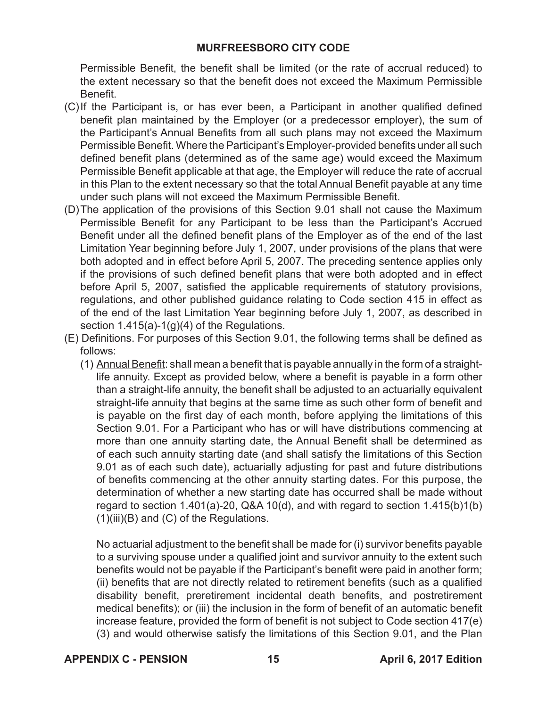Permissible Benefit, the benefit shall be limited (or the rate of accrual reduced) to the extent necessary so that the benefit does not exceed the Maximum Permissible Benefit.

- (C)If the Participant is, or has ever been, a Participant in another qualified defined benefit plan maintained by the Employer (or a predecessor employer), the sum of the Participant's Annual Benefits from all such plans may not exceed the Maximum Permissible Benefit. Where the Participant's Employer-provided benefits under all such defined benefit plans (determined as of the same age) would exceed the Maximum Permissible Benefit applicable at that age, the Employer will reduce the rate of accrual in this Plan to the extent necessary so that the total Annual Benefit payable at any time under such plans will not exceed the Maximum Permissible Benefit.
- (D)The application of the provisions of this Section 9.01 shall not cause the Maximum Permissible Benefit for any Participant to be less than the Participant's Accrued Benefit under all the defined benefit plans of the Employer as of the end of the last Limitation Year beginning before July 1, 2007, under provisions of the plans that were both adopted and in effect before April 5, 2007. The preceding sentence applies only if the provisions of such defined benefit plans that were both adopted and in effect before April 5, 2007, satisfied the applicable requirements of statutory provisions, regulations, and other published guidance relating to Code section 415 in effect as of the end of the last Limitation Year beginning before July 1, 2007, as described in section 1.415(a)-1(g)(4) of the Regulations.
- (E) Definitions. For purposes of this Section 9.01, the following terms shall be defined as follows:
	- (1) Annual Benefit: shall mean a benefit that is payable annually in the form of a straightlife annuity. Except as provided below, where a benefit is payable in a form other than a straight-life annuity, the benefit shall be adjusted to an actuarially equivalent straight-life annuity that begins at the same time as such other form of benefit and is payable on the first day of each month, before applying the limitations of this Section 9.01. For a Participant who has or will have distributions commencing at more than one annuity starting date, the Annual Benefit shall be determined as of each such annuity starting date (and shall satisfy the limitations of this Section 9.01 as of each such date), actuarially adjusting for past and future distributions of benefits commencing at the other annuity starting dates. For this purpose, the determination of whether a new starting date has occurred shall be made without regard to section 1.401(a)-20, Q&A 10(d), and with regard to section 1.415(b)1(b) (1)(iii)(B) and (C) of the Regulations.

No actuarial adjustment to the benefit shall be made for (i) survivor benefits payable to a surviving spouse under a qualified joint and survivor annuity to the extent such benefits would not be payable if the Participant's benefit were paid in another form; (ii) benefits that are not directly related to retirement benefits (such as a qualified disability benefit, preretirement incidental death benefits, and postretirement medical benefits); or (iii) the inclusion in the form of benefit of an automatic benefit increase feature, provided the form of benefit is not subject to Code section 417(e) (3) and would otherwise satisfy the limitations of this Section 9.01, and the Plan

**APPENDIX C - PENSION 15 April 6, 2017 Edition**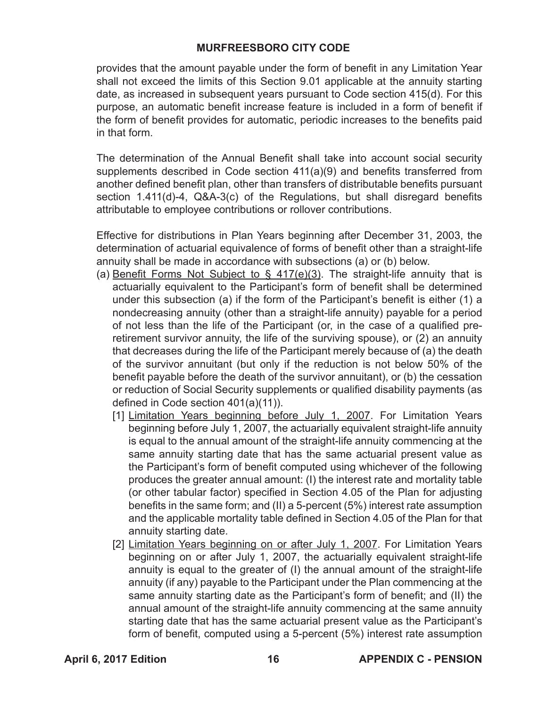provides that the amount payable under the form of benefit in any Limitation Year shall not exceed the limits of this Section 9.01 applicable at the annuity starting date, as increased in subsequent years pursuant to Code section 415(d). For this purpose, an automatic benefit increase feature is included in a form of benefit if the form of benefit provides for automatic, periodic increases to the benefits paid in that form.

The determination of the Annual Benefit shall take into account social security supplements described in Code section 411(a)(9) and benefits transferred from another defined benefit plan, other than transfers of distributable benefits pursuant section 1.411(d)-4, Q&A-3(c) of the Regulations, but shall disregard benefits attributable to employee contributions or rollover contributions.

Effective for distributions in Plan Years beginning after December 31, 2003, the determination of actuarial equivalence of forms of benefit other than a straight-life annuity shall be made in accordance with subsections (a) or (b) below.

- (a) Benefit Forms Not Subject to  $\frac{6}{5}$  417(e)(3). The straight-life annuity that is actuarially equivalent to the Participant's form of benefit shall be determined under this subsection (a) if the form of the Participant's benefit is either (1) a nondecreasing annuity (other than a straight-life annuity) payable for a period of not less than the life of the Participant (or, in the case of a qualified preretirement survivor annuity, the life of the surviving spouse), or (2) an annuity that decreases during the life of the Participant merely because of (a) the death of the survivor annuitant (but only if the reduction is not below 50% of the benefit payable before the death of the survivor annuitant), or (b) the cessation or reduction of Social Security supplements or qualified disability payments (as defined in Code section 401(a)(11)).
	- [1] Limitation Years beginning before July 1, 2007. For Limitation Years beginning before July 1, 2007, the actuarially equivalent straight-life annuity is equal to the annual amount of the straight-life annuity commencing at the same annuity starting date that has the same actuarial present value as the Participant's form of benefit computed using whichever of the following produces the greater annual amount: (I) the interest rate and mortality table (or other tabular factor) specified in Section 4.05 of the Plan for adjusting benefits in the same form; and (II) a 5-percent (5%) interest rate assumption and the applicable mortality table defined in Section 4.05 of the Plan for that annuity starting date.
	- [2] Limitation Years beginning on or after July 1, 2007. For Limitation Years beginning on or after July 1, 2007, the actuarially equivalent straight-life annuity is equal to the greater of (I) the annual amount of the straight-life annuity (if any) payable to the Participant under the Plan commencing at the same annuity starting date as the Participant's form of benefit; and (II) the annual amount of the straight-life annuity commencing at the same annuity starting date that has the same actuarial present value as the Participant's form of benefit, computed using a 5-percent (5%) interest rate assumption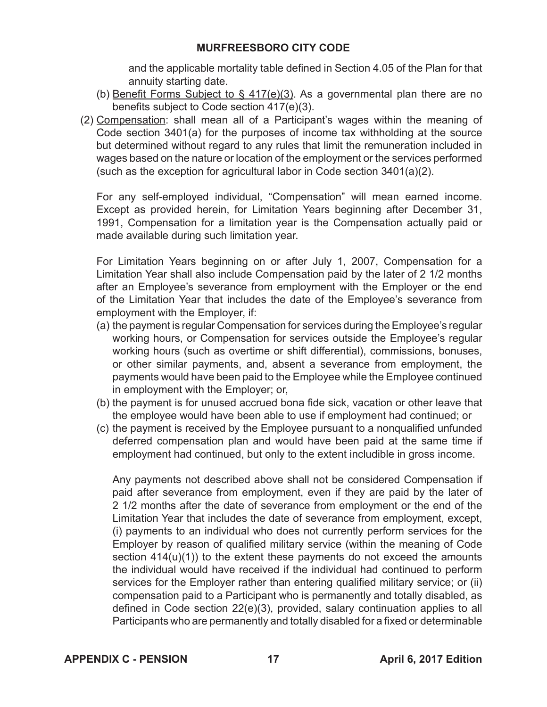and the applicable mortality table defined in Section 4.05 of the Plan for that annuity starting date.

- (b) Benefit Forms Subject to § 417(e)(3). As a governmental plan there are no benefits subject to Code section 417(e)(3).
- (2) Compensation: shall mean all of a Participant's wages within the meaning of Code section 3401(a) for the purposes of income tax withholding at the source but determined without regard to any rules that limit the remuneration included in wages based on the nature or location of the employment or the services performed (such as the exception for agricultural labor in Code section 3401(a)(2).

For any self-employed individual, "Compensation" will mean earned income. Except as provided herein, for Limitation Years beginning after December 31, 1991, Compensation for a limitation year is the Compensation actually paid or made available during such limitation year.

For Limitation Years beginning on or after July 1, 2007, Compensation for a Limitation Year shall also include Compensation paid by the later of 2 1/2 months after an Employee's severance from employment with the Employer or the end of the Limitation Year that includes the date of the Employee's severance from employment with the Employer, if:

- (a) the payment is regular Compensation for services during the Employee's regular working hours, or Compensation for services outside the Employee's regular working hours (such as overtime or shift differential), commissions, bonuses, or other similar payments, and, absent a severance from employment, the payments would have been paid to the Employee while the Employee continued in employment with the Employer; or,
- (b) the payment is for unused accrued bona fide sick, vacation or other leave that the employee would have been able to use if employment had continued; or
- (c) the payment is received by the Employee pursuant to a nonqualified unfunded deferred compensation plan and would have been paid at the same time if employment had continued, but only to the extent includible in gross income.

Any payments not described above shall not be considered Compensation if paid after severance from employment, even if they are paid by the later of 2 1/2 months after the date of severance from employment or the end of the Limitation Year that includes the date of severance from employment, except, (i) payments to an individual who does not currently perform services for the Employer by reason of qualified military service (within the meaning of Code section  $414(u)(1)$  to the extent these payments do not exceed the amounts the individual would have received if the individual had continued to perform services for the Employer rather than entering qualified military service; or (ii) compensation paid to a Participant who is permanently and totally disabled, as defined in Code section 22(e)(3), provided, salary continuation applies to all Participants who are permanently and totally disabled for a fixed or determinable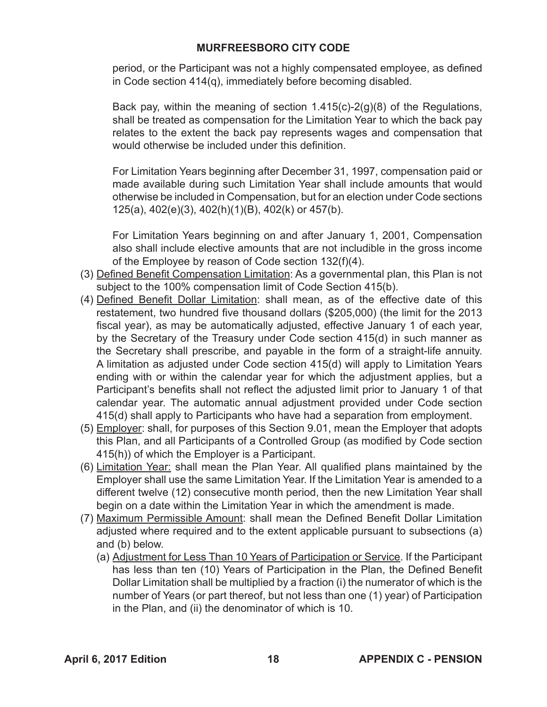period, or the Participant was not a highly compensated employee, as defined in Code section 414(q), immediately before becoming disabled.

Back pay, within the meaning of section 1.415(c)-2(g)(8) of the Regulations, shall be treated as compensation for the Limitation Year to which the back pay relates to the extent the back pay represents wages and compensation that would otherwise be included under this definition.

For Limitation Years beginning after December 31, 1997, compensation paid or made available during such Limitation Year shall include amounts that would otherwise be included in Compensation, but for an election under Code sections 125(a), 402(e)(3), 402(h)(1)(B), 402(k) or 457(b).

For Limitation Years beginning on and after January 1, 2001, Compensation also shall include elective amounts that are not includible in the gross income of the Employee by reason of Code section 132(f)(4).

- (3) Defined Benefit Compensation Limitation: As a governmental plan, this Plan is not subject to the 100% compensation limit of Code Section 415(b).
- (4) Defined Benefit Dollar Limitation: shall mean, as of the effective date of this restatement, two hundred five thousand dollars (\$205,000) (the limit for the 2013 fiscal year), as may be automatically adjusted, effective January 1 of each year, by the Secretary of the Treasury under Code section 415(d) in such manner as the Secretary shall prescribe, and payable in the form of a straight-life annuity. A limitation as adjusted under Code section 415(d) will apply to Limitation Years ending with or within the calendar year for which the adjustment applies, but a Participant's benefits shall not reflect the adjusted limit prior to January 1 of that calendar year. The automatic annual adjustment provided under Code section 415(d) shall apply to Participants who have had a separation from employment.
- (5) Employer: shall, for purposes of this Section 9.01, mean the Employer that adopts this Plan, and all Participants of a Controlled Group (as modified by Code section 415(h)) of which the Employer is a Participant.
- (6) Limitation Year: shall mean the Plan Year. All qualified plans maintained by the Employer shall use the same Limitation Year. If the Limitation Year is amended to a different twelve (12) consecutive month period, then the new Limitation Year shall begin on a date within the Limitation Year in which the amendment is made.
- (7) Maximum Permissible Amount: shall mean the Defined Benefit Dollar Limitation adjusted where required and to the extent applicable pursuant to subsections (a) and (b) below.
	- (a) Adjustment for Less Than 10 Years of Participation or Service. If the Participant has less than ten (10) Years of Participation in the Plan, the Defined Benefit Dollar Limitation shall be multiplied by a fraction (i) the numerator of which is the number of Years (or part thereof, but not less than one (1) year) of Participation in the Plan, and (ii) the denominator of which is 10.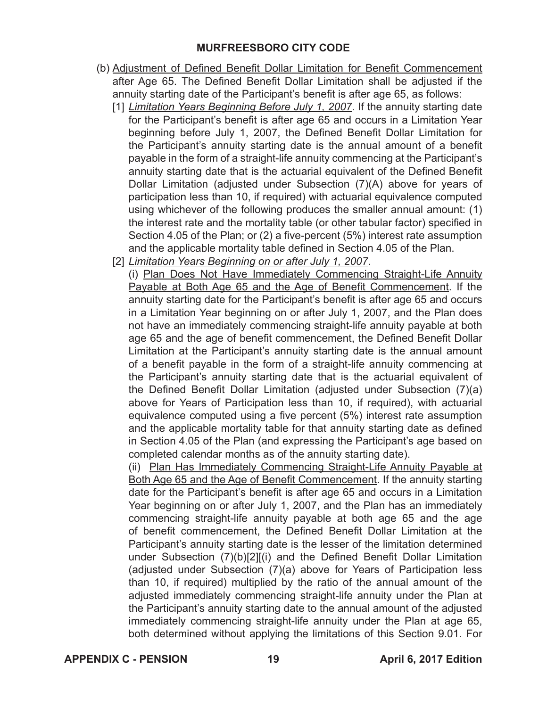- (b) Adjustment of Defined Benefit Dollar Limitation for Benefit Commencement after Age 65. The Defined Benefit Dollar Limitation shall be adjusted if the annuity starting date of the Participant's benefit is after age 65, as follows:
	- [1] *Limitation Years Beginning Before July 1, 2007*. If the annuity starting date for the Participant's benefit is after age 65 and occurs in a Limitation Year beginning before July 1, 2007, the Defined Benefit Dollar Limitation for the Participant's annuity starting date is the annual amount of a benefit payable in the form of a straight-life annuity commencing at the Participant's annuity starting date that is the actuarial equivalent of the Defined Benefit Dollar Limitation (adjusted under Subsection (7)(A) above for years of participation less than 10, if required) with actuarial equivalence computed using whichever of the following produces the smaller annual amount: (1) the interest rate and the mortality table (or other tabular factor) specified in Section 4.05 of the Plan; or (2) a five-percent (5%) interest rate assumption and the applicable mortality table defined in Section 4.05 of the Plan.
	- [2] *Limitation Years Beginning on or after July 1, 2007*.
		- (i) Plan Does Not Have Immediately Commencing Straight-Life Annuity Payable at Both Age 65 and the Age of Benefit Commencement. If the annuity starting date for the Participant's benefit is after age 65 and occurs in a Limitation Year beginning on or after July 1, 2007, and the Plan does not have an immediately commencing straight-life annuity payable at both age 65 and the age of benefit commencement, the Defined Benefit Dollar Limitation at the Participant's annuity starting date is the annual amount of a benefit payable in the form of a straight-life annuity commencing at the Participant's annuity starting date that is the actuarial equivalent of the Defined Benefit Dollar Limitation (adjusted under Subsection (7)(a) above for Years of Participation less than 10, if required), with actuarial equivalence computed using a five percent (5%) interest rate assumption and the applicable mortality table for that annuity starting date as defined in Section 4.05 of the Plan (and expressing the Participant's age based on completed calendar months as of the annuity starting date).

(ii) Plan Has Immediately Commencing Straight-Life Annuity Payable at Both Age 65 and the Age of Benefit Commencement. If the annuity starting date for the Participant's benefit is after age 65 and occurs in a Limitation Year beginning on or after July 1, 2007, and the Plan has an immediately commencing straight-life annuity payable at both age 65 and the age of benefit commencement, the Defined Benefit Dollar Limitation at the Participant's annuity starting date is the lesser of the limitation determined under Subsection (7)(b)[2][(i) and the Defined Benefit Dollar Limitation (adjusted under Subsection (7)(a) above for Years of Participation less than 10, if required) multiplied by the ratio of the annual amount of the adjusted immediately commencing straight-life annuity under the Plan at the Participant's annuity starting date to the annual amount of the adjusted immediately commencing straight-life annuity under the Plan at age 65, both determined without applying the limitations of this Section 9.01. For

**APPENDIX C - PENSION 19 April 6, 2017 Edition**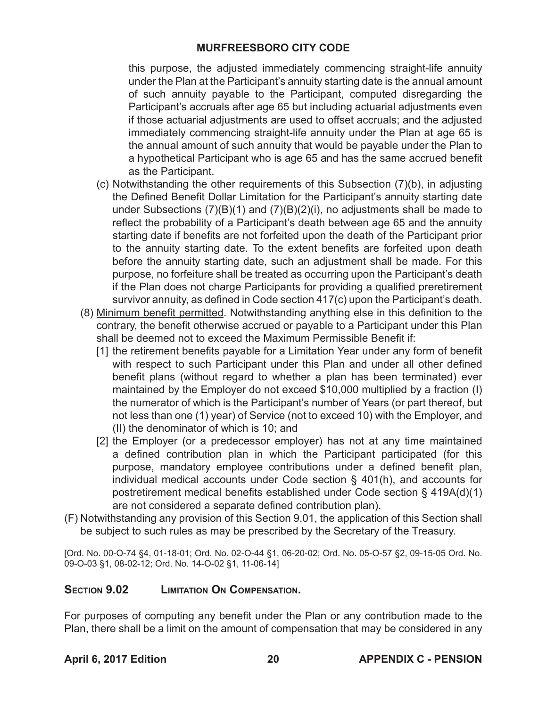this purpose, the adjusted immediately commencing straight-life annuity under the Plan at the Participant's annuity starting date is the annual amount of such annuity payable to the Participant, computed disregarding the Participant's accruals after age 65 but including actuarial adjustments even if those actuarial adjustments are used to offset accruals; and the adjusted immediately commencing straight-life annuity under the Plan at age 65 is the annual amount of such annuity that would be payable under the Plan to a hypothetical Participant who is age 65 and has the same accrued benefit as the Participant.

- (c) Notwithstanding the other requirements of this Subsection (7)(b), in adjusting the Defined Benefit Dollar Limitation for the Participant's annuity starting date under Subsections (7)(B)(1) and (7)(B)(2)(i), no adjustments shall be made to reflect the probability of a Participant's death between age 65 and the annuity starting date if benefits are not forfeited upon the death of the Participant prior to the annuity starting date. To the extent benefits are forfeited upon death before the annuity starting date, such an adjustment shall be made. For this purpose, no forfeiture shall be treated as occurring upon the Participant's death if the Plan does not charge Participants for providing a qualified preretirement survivor annuity, as defined in Code section 417(c) upon the Participant's death.
- (8) Minimum benefit permitted. Notwithstanding anything else in this definition to the contrary, the benefit otherwise accrued or payable to a Participant under this Plan shall be deemed not to exceed the Maximum Permissible Benefit if:
	- [1] the retirement benefits payable for a Limitation Year under any form of benefit with respect to such Participant under this Plan and under all other defined benefit plans (without regard to whether a plan has been terminated) ever maintained by the Employer do not exceed \$10,000 multiplied by a fraction (I) the numerator of which is the Participant's number of Years (or part thereof, but not less than one (1) year) of Service (not to exceed 10) with the Employer, and (II) the denominator of which is 10; and
	- [2] the Employer (or a predecessor employer) has not at any time maintained a defined contribution plan in which the Participant participated (for this purpose, mandatory employee contributions under a defined benefit plan, individual medical accounts under Code section § 401(h), and accounts for postretirement medical benefits established under Code section § 419A(d)(1) are not considered a separate defined contribution plan).
- (F) Notwithstanding any provision of this Section 9.01, the application of this Section shall be subject to such rules as may be prescribed by the Secretary of the Treasury.

[Ord. No. 00-O-74 §4, 01-18-01; Ord. No. 02-O-44 §1, 06-20-02; Ord. No. 05-O-57 §2, 09-15-05 Ord. No. 09-O-03 §1, 08-02-12; Ord. No. 14-O-02 §1, 11-06-14]

## **Section 9.02 Limitation On Compensation.**

For purposes of computing any benefit under the Plan or any contribution made to the Plan, there shall be a limit on the amount of compensation that may be considered in any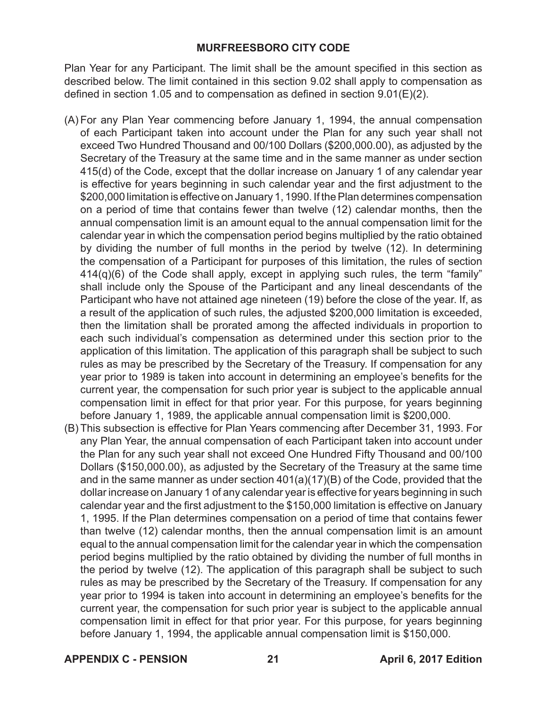Plan Year for any Participant. The limit shall be the amount specified in this section as described below. The limit contained in this section 9.02 shall apply to compensation as defined in section 1.05 and to compensation as defined in section 9.01(E)(2).

- (A) For any Plan Year commencing before January 1, 1994, the annual compensation of each Participant taken into account under the Plan for any such year shall not exceed Two Hundred Thousand and 00/100 Dollars (\$200,000.00), as adjusted by the Secretary of the Treasury at the same time and in the same manner as under section 415(d) of the Code, except that the dollar increase on January 1 of any calendar year is effective for years beginning in such calendar year and the first adjustment to the \$200,000 limitation is effective on January 1, 1990. If the Plan determines compensation on a period of time that contains fewer than twelve (12) calendar months, then the annual compensation limit is an amount equal to the annual compensation limit for the calendar year in which the compensation period begins multiplied by the ratio obtained by dividing the number of full months in the period by twelve (12). In determining the compensation of a Participant for purposes of this limitation, the rules of section 414(q)(6) of the Code shall apply, except in applying such rules, the term "family" shall include only the Spouse of the Participant and any lineal descendants of the Participant who have not attained age nineteen (19) before the close of the year. If, as a result of the application of such rules, the adjusted \$200,000 limitation is exceeded, then the limitation shall be prorated among the affected individuals in proportion to each such individual's compensation as determined under this section prior to the application of this limitation. The application of this paragraph shall be subject to such rules as may be prescribed by the Secretary of the Treasury. If compensation for any year prior to 1989 is taken into account in determining an employee's benefits for the current year, the compensation for such prior year is subject to the applicable annual compensation limit in effect for that prior year. For this purpose, for years beginning before January 1, 1989, the applicable annual compensation limit is \$200,000.
- (B) This subsection is effective for Plan Years commencing after December 31, 1993. For any Plan Year, the annual compensation of each Participant taken into account under the Plan for any such year shall not exceed One Hundred Fifty Thousand and 00/100 Dollars (\$150,000.00), as adjusted by the Secretary of the Treasury at the same time and in the same manner as under section 401(a)(17)(B) of the Code, provided that the dollar increase on January 1 of any calendar year is effective for years beginning in such calendar year and the first adjustment to the \$150,000 limitation is effective on January 1, 1995. If the Plan determines compensation on a period of time that contains fewer than twelve (12) calendar months, then the annual compensation limit is an amount equal to the annual compensation limit for the calendar year in which the compensation period begins multiplied by the ratio obtained by dividing the number of full months in the period by twelve (12). The application of this paragraph shall be subject to such rules as may be prescribed by the Secretary of the Treasury. If compensation for any year prior to 1994 is taken into account in determining an employee's benefits for the current year, the compensation for such prior year is subject to the applicable annual compensation limit in effect for that prior year. For this purpose, for years beginning before January 1, 1994, the applicable annual compensation limit is \$150,000.

**APPENDIX C - PENSION 21 April 6, 2017 Edition**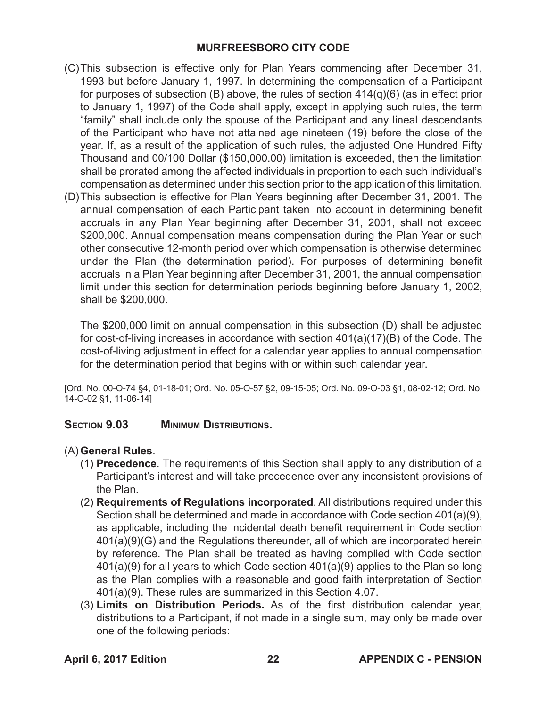- (C)This subsection is effective only for Plan Years commencing after December 31, 1993 but before January 1, 1997. In determining the compensation of a Participant for purposes of subsection (B) above, the rules of section 414(q)(6) (as in effect prior to January 1, 1997) of the Code shall apply, except in applying such rules, the term "family" shall include only the spouse of the Participant and any lineal descendants of the Participant who have not attained age nineteen (19) before the close of the year. If, as a result of the application of such rules, the adjusted One Hundred Fifty Thousand and 00/100 Dollar (\$150,000.00) limitation is exceeded, then the limitation shall be prorated among the affected individuals in proportion to each such individual's compensation as determined under this section prior to the application of this limitation.
- (D)This subsection is effective for Plan Years beginning after December 31, 2001. The annual compensation of each Participant taken into account in determining benefit accruals in any Plan Year beginning after December 31, 2001, shall not exceed \$200,000. Annual compensation means compensation during the Plan Year or such other consecutive 12-month period over which compensation is otherwise determined under the Plan (the determination period). For purposes of determining benefit accruals in a Plan Year beginning after December 31, 2001, the annual compensation limit under this section for determination periods beginning before January 1, 2002, shall be \$200,000.

The \$200,000 limit on annual compensation in this subsection (D) shall be adjusted for cost-of-living increases in accordance with section 401(a)(17)(B) of the Code. The cost-of-living adjustment in effect for a calendar year applies to annual compensation for the determination period that begins with or within such calendar year.

[Ord. No. 00-O-74 §4, 01-18-01; Ord. No. 05-O-57 §2, 09-15-05; Ord. No. 09-O-03 §1, 08-02-12; Ord. No. 14-O-02 §1, 11-06-14]

## **Section 9.03 Minimum Distributions.**

## (A) **General Rules**.

- (1) **Precedence**. The requirements of this Section shall apply to any distribution of a Participant's interest and will take precedence over any inconsistent provisions of the Plan.
- (2) **Requirements of Regulations incorporated**. All distributions required under this Section shall be determined and made in accordance with Code section 401(a)(9), as applicable, including the incidental death benefit requirement in Code section 401(a)(9)(G) and the Regulations thereunder, all of which are incorporated herein by reference. The Plan shall be treated as having complied with Code section 401(a)(9) for all years to which Code section 401(a)(9) applies to the Plan so long as the Plan complies with a reasonable and good faith interpretation of Section 401(a)(9). These rules are summarized in this Section 4.07.
- (3) **Limits on Distribution Periods.** As of the first distribution calendar year, distributions to a Participant, if not made in a single sum, may only be made over one of the following periods: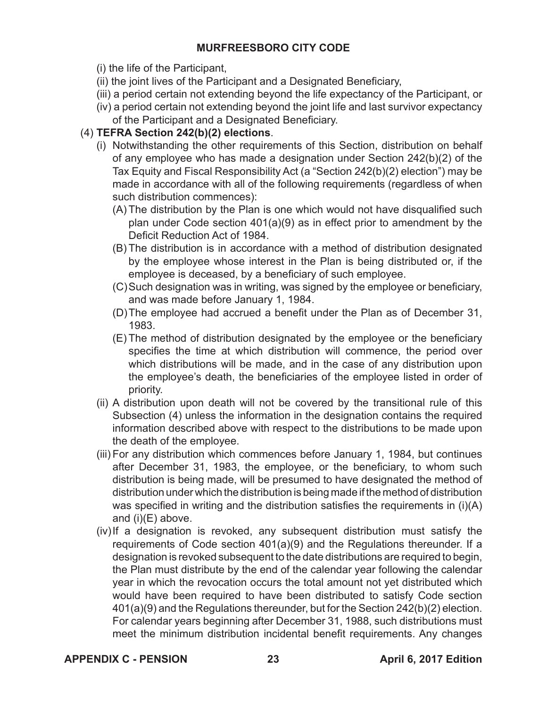(i) the life of the Participant,

- (ii) the joint lives of the Participant and a Designated Beneficiary,
- (iii) a period certain not extending beyond the life expectancy of the Participant, or
- (iv) a period certain not extending beyond the joint life and last survivor expectancy of the Participant and a Designated Beneficiary.

# (4) **TEFRA Section 242(b)(2) elections**.

- (i) Notwithstanding the other requirements of this Section, distribution on behalf of any employee who has made a designation under Section 242(b)(2) of the Tax Equity and Fiscal Responsibility Act (a "Section 242(b)(2) election") may be made in accordance with all of the following requirements (regardless of when such distribution commences):
	- (A) The distribution by the Plan is one which would not have disqualified such plan under Code section 401(a)(9) as in effect prior to amendment by the Deficit Reduction Act of 1984.
	- (B) The distribution is in accordance with a method of distribution designated by the employee whose interest in the Plan is being distributed or, if the employee is deceased, by a beneficiary of such employee.
	- (C)Such designation was in writing, was signed by the employee or beneficiary, and was made before January 1, 1984.
	- (D)The employee had accrued a benefit under the Plan as of December 31, 1983.
	- (E) The method of distribution designated by the employee or the beneficiary specifies the time at which distribution will commence, the period over which distributions will be made, and in the case of any distribution upon the employee's death, the beneficiaries of the employee listed in order of priority.
- (ii) A distribution upon death will not be covered by the transitional rule of this Subsection (4) unless the information in the designation contains the required information described above with respect to the distributions to be made upon the death of the employee.
- (iii) For any distribution which commences before January 1, 1984, but continues after December 31, 1983, the employee, or the beneficiary, to whom such distribution is being made, will be presumed to have designated the method of distribution under which the distribution is being made if the method of distribution was specified in writing and the distribution satisfies the requirements in (i)(A) and (i)(E) above.
- (iv)If a designation is revoked, any subsequent distribution must satisfy the requirements of Code section 401(a)(9) and the Regulations thereunder. If a designation is revoked subsequent to the date distributions are required to begin, the Plan must distribute by the end of the calendar year following the calendar year in which the revocation occurs the total amount not yet distributed which would have been required to have been distributed to satisfy Code section 401(a)(9) and the Regulations thereunder, but for the Section 242(b)(2) election. For calendar years beginning after December 31, 1988, such distributions must meet the minimum distribution incidental benefit requirements. Any changes

**APPENDIX C - PENSION 23 April 6, 2017 Edition**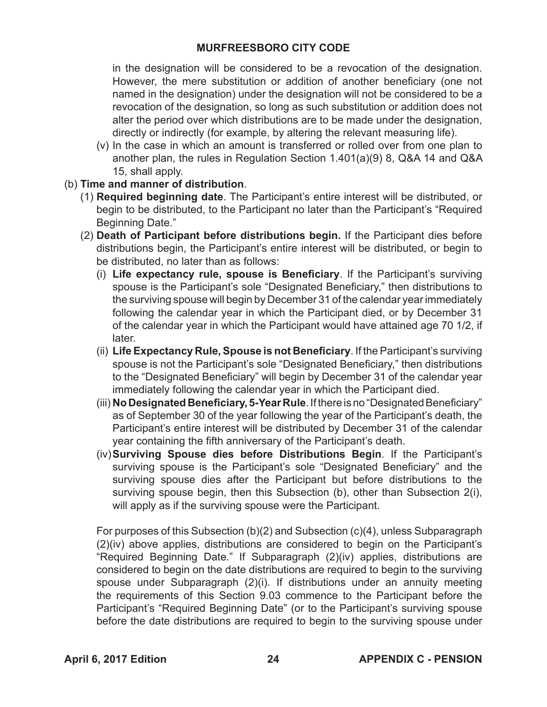in the designation will be considered to be a revocation of the designation. However, the mere substitution or addition of another beneficiary (one not named in the designation) under the designation will not be considered to be a revocation of the designation, so long as such substitution or addition does not alter the period over which distributions are to be made under the designation, directly or indirectly (for example, by altering the relevant measuring life).

- (v) In the case in which an amount is transferred or rolled over from one plan to another plan, the rules in Regulation Section 1.401(a)(9) 8, Q&A 14 and Q&A 15, shall apply.
- (b) **Time and manner of distribution**.
	- (1) **Required beginning date**. The Participant's entire interest will be distributed, or begin to be distributed, to the Participant no later than the Participant's "Required Beginning Date."
	- (2) **Death of Participant before distributions begin.** If the Participant dies before distributions begin, the Participant's entire interest will be distributed, or begin to be distributed, no later than as follows:
		- (i) **Life expectancy rule, spouse is Beneficiary**. If the Participant's surviving spouse is the Participant's sole "Designated Beneficiary," then distributions to the surviving spouse will begin by December 31 of the calendar year immediately following the calendar year in which the Participant died, or by December 31 of the calendar year in which the Participant would have attained age 70 1/2, if later.
		- (ii) **Life Expectancy Rule, Spouse is not Beneficiary**. If the Participant's surviving spouse is not the Participant's sole "Designated Beneficiary," then distributions to the "Designated Beneficiary" will begin by December 31 of the calendar year immediately following the calendar year in which the Participant died.
		- (iii) **No Designated Beneficiary, 5-Year Rule**. If there is no "Designated Beneficiary" as of September 30 of the year following the year of the Participant's death, the Participant's entire interest will be distributed by December 31 of the calendar year containing the fifth anniversary of the Participant's death.
		- (iv)**Surviving Spouse dies before Distributions Begin**. If the Participant's surviving spouse is the Participant's sole "Designated Beneficiary" and the surviving spouse dies after the Participant but before distributions to the surviving spouse begin, then this Subsection (b), other than Subsection 2(i), will apply as if the surviving spouse were the Participant.

For purposes of this Subsection (b)(2) and Subsection (c)(4), unless Subparagraph (2)(iv) above applies, distributions are considered to begin on the Participant's "Required Beginning Date." If Subparagraph (2)(iv) applies, distributions are considered to begin on the date distributions are required to begin to the surviving spouse under Subparagraph (2)(i). If distributions under an annuity meeting the requirements of this Section 9.03 commence to the Participant before the Participant's "Required Beginning Date" (or to the Participant's surviving spouse before the date distributions are required to begin to the surviving spouse under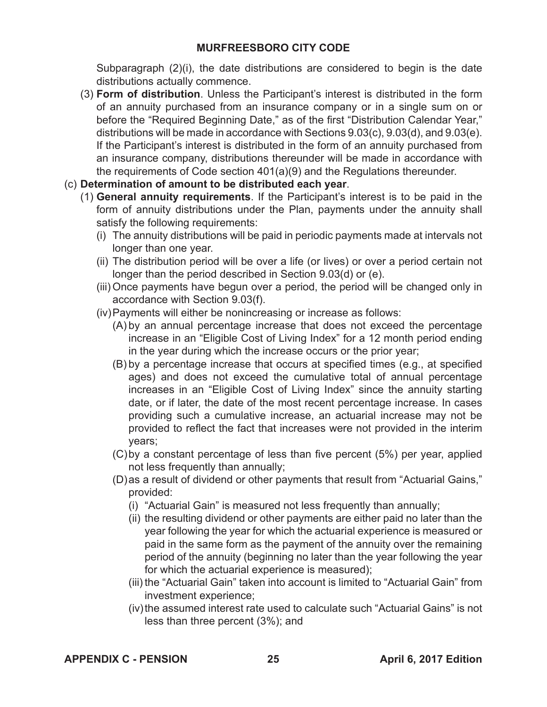Subparagraph (2)(i), the date distributions are considered to begin is the date distributions actually commence.

- (3) **Form of distribution**. Unless the Participant's interest is distributed in the form of an annuity purchased from an insurance company or in a single sum on or before the "Required Beginning Date," as of the first "Distribution Calendar Year," distributions will be made in accordance with Sections 9.03(c), 9.03(d), and 9.03(e). If the Participant's interest is distributed in the form of an annuity purchased from an insurance company, distributions thereunder will be made in accordance with the requirements of Code section 401(a)(9) and the Regulations thereunder.
- (c) **Determination of amount to be distributed each year**.
	- (1) **General annuity requirements**. If the Participant's interest is to be paid in the form of annuity distributions under the Plan, payments under the annuity shall satisfy the following requirements:
		- (i) The annuity distributions will be paid in periodic payments made at intervals not longer than one year.
		- (ii) The distribution period will be over a life (or lives) or over a period certain not longer than the period described in Section 9.03(d) or (e).
		- (iii) Once payments have begun over a period, the period will be changed only in accordance with Section 9.03(f).
		- (iv)Payments will either be nonincreasing or increase as follows:
			- (A) by an annual percentage increase that does not exceed the percentage increase in an "Eligible Cost of Living Index" for a 12 month period ending in the year during which the increase occurs or the prior year;
			- (B) by a percentage increase that occurs at specified times (e.g., at specified ages) and does not exceed the cumulative total of annual percentage increases in an "Eligible Cost of Living Index" since the annuity starting date, or if later, the date of the most recent percentage increase. In cases providing such a cumulative increase, an actuarial increase may not be provided to reflect the fact that increases were not provided in the interim years;
			- (C)by a constant percentage of less than five percent (5%) per year, applied not less frequently than annually;
			- (D)as a result of dividend or other payments that result from "Actuarial Gains," provided:
				- (i) "Actuarial Gain" is measured not less frequently than annually;
				- (ii) the resulting dividend or other payments are either paid no later than the year following the year for which the actuarial experience is measured or paid in the same form as the payment of the annuity over the remaining period of the annuity (beginning no later than the year following the year for which the actuarial experience is measured);
				- (iii) the "Actuarial Gain" taken into account is limited to "Actuarial Gain" from investment experience;
				- (iv)the assumed interest rate used to calculate such "Actuarial Gains" is not less than three percent (3%); and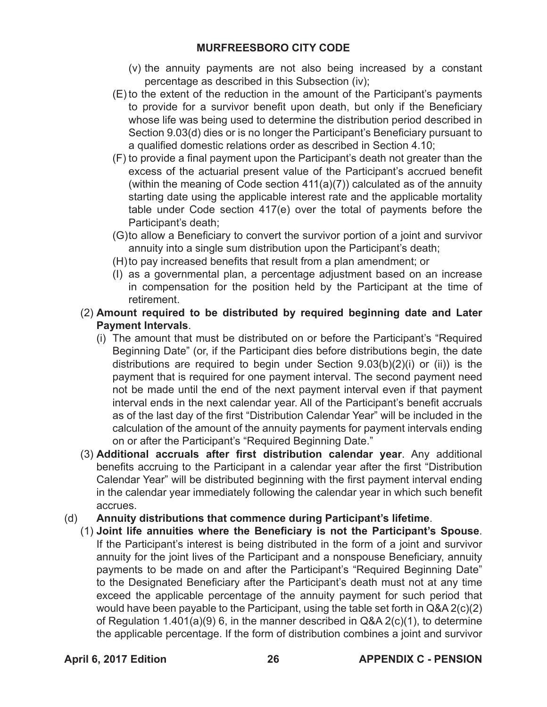- (v) the annuity payments are not also being increased by a constant percentage as described in this Subsection (iv);
- (E) to the extent of the reduction in the amount of the Participant's payments to provide for a survivor benefit upon death, but only if the Beneficiary whose life was being used to determine the distribution period described in Section 9.03(d) dies or is no longer the Participant's Beneficiary pursuant to a qualified domestic relations order as described in Section 4.10;
- (F) to provide a final payment upon the Participant's death not greater than the excess of the actuarial present value of the Participant's accrued benefit (within the meaning of Code section 411(a)(7)) calculated as of the annuity starting date using the applicable interest rate and the applicable mortality table under Code section 417(e) over the total of payments before the Participant's death;
- (G)to allow a Beneficiary to convert the survivor portion of a joint and survivor annuity into a single sum distribution upon the Participant's death;
- (H)to pay increased benefits that result from a plan amendment; or
- (I) as a governmental plan, a percentage adjustment based on an increase in compensation for the position held by the Participant at the time of retirement.
- (2) **Amount required to be distributed by required beginning date and Later Payment Intervals**.
	- (i) The amount that must be distributed on or before the Participant's "Required Beginning Date" (or, if the Participant dies before distributions begin, the date distributions are required to begin under Section 9.03(b)(2)(i) or (ii)) is the payment that is required for one payment interval. The second payment need not be made until the end of the next payment interval even if that payment interval ends in the next calendar year. All of the Participant's benefit accruals as of the last day of the first "Distribution Calendar Year" will be included in the calculation of the amount of the annuity payments for payment intervals ending on or after the Participant's "Required Beginning Date."
- (3) **Additional accruals after first distribution calendar year**. Any additional benefits accruing to the Participant in a calendar year after the first "Distribution Calendar Year" will be distributed beginning with the first payment interval ending in the calendar year immediately following the calendar year in which such benefit accrues.
- (d) **Annuity distributions that commence during Participant's lifetime**.
	- (1) **Joint life annuities where the Beneficiary is not the Participant's Spouse**. If the Participant's interest is being distributed in the form of a joint and survivor annuity for the joint lives of the Participant and a nonspouse Beneficiary, annuity payments to be made on and after the Participant's "Required Beginning Date" to the Designated Beneficiary after the Participant's death must not at any time exceed the applicable percentage of the annuity payment for such period that would have been payable to the Participant, using the table set forth in Q&A 2(c)(2) of Regulation 1.401(a)(9) 6, in the manner described in Q&A 2(c)(1), to determine the applicable percentage. If the form of distribution combines a joint and survivor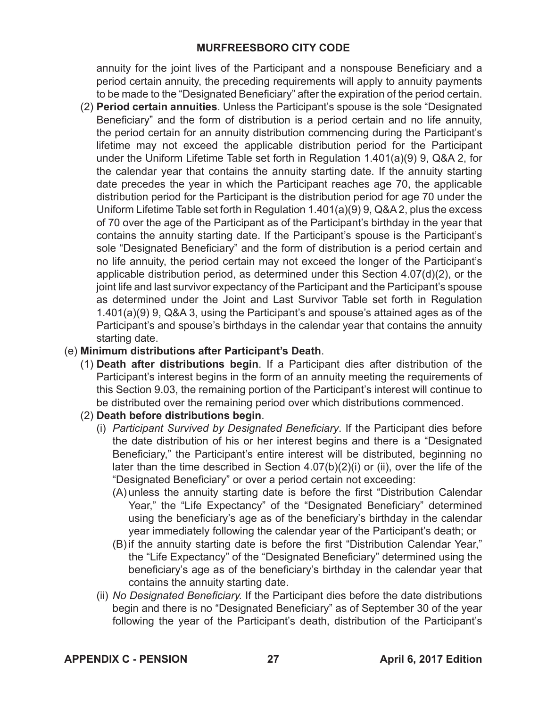annuity for the joint lives of the Participant and a nonspouse Beneficiary and a period certain annuity, the preceding requirements will apply to annuity payments to be made to the "Designated Beneficiary" after the expiration of the period certain.

(2) **Period certain annuities**. Unless the Participant's spouse is the sole "Designated Beneficiary" and the form of distribution is a period certain and no life annuity, the period certain for an annuity distribution commencing during the Participant's lifetime may not exceed the applicable distribution period for the Participant under the Uniform Lifetime Table set forth in Regulation 1.401(a)(9) 9, Q&A 2, for the calendar year that contains the annuity starting date. If the annuity starting date precedes the year in which the Participant reaches age 70, the applicable distribution period for the Participant is the distribution period for age 70 under the Uniform Lifetime Table set forth in Regulation 1.401(a)(9) 9, Q&A 2, plus the excess of 70 over the age of the Participant as of the Participant's birthday in the year that contains the annuity starting date. If the Participant's spouse is the Participant's sole "Designated Beneficiary" and the form of distribution is a period certain and no life annuity, the period certain may not exceed the longer of the Participant's applicable distribution period, as determined under this Section 4.07(d)(2), or the joint life and last survivor expectancy of the Participant and the Participant's spouse as determined under the Joint and Last Survivor Table set forth in Regulation 1.401(a)(9) 9, Q&A 3, using the Participant's and spouse's attained ages as of the Participant's and spouse's birthdays in the calendar year that contains the annuity starting date.

## (e) **Minimum distributions after Participant's Death**.

- (1) **Death after distributions begin**. If a Participant dies after distribution of the Participant's interest begins in the form of an annuity meeting the requirements of this Section 9.03, the remaining portion of the Participant's interest will continue to be distributed over the remaining period over which distributions commenced.
- (2) **Death before distributions begin**.
	- (i) *Participant Survived by Designated Beneficiary*. If the Participant dies before the date distribution of his or her interest begins and there is a "Designated Beneficiary," the Participant's entire interest will be distributed, beginning no later than the time described in Section 4.07(b)(2)(i) or (ii), over the life of the "Designated Beneficiary" or over a period certain not exceeding:
		- (A) unless the annuity starting date is before the first "Distribution Calendar Year," the "Life Expectancy" of the "Designated Beneficiary" determined using the beneficiary's age as of the beneficiary's birthday in the calendar year immediately following the calendar year of the Participant's death; or
		- (B) if the annuity starting date is before the first "Distribution Calendar Year," the "Life Expectancy" of the "Designated Beneficiary" determined using the beneficiary's age as of the beneficiary's birthday in the calendar year that contains the annuity starting date.
	- (ii) *No Designated Beneficiary.* If the Participant dies before the date distributions begin and there is no "Designated Beneficiary" as of September 30 of the year following the year of the Participant's death, distribution of the Participant's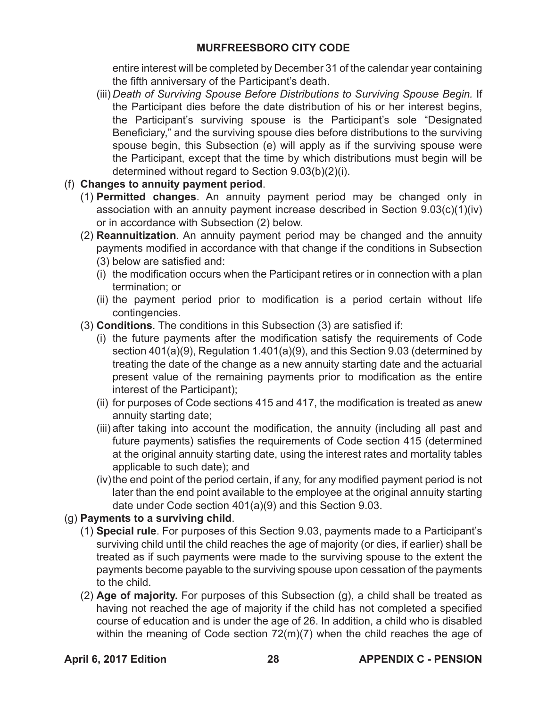entire interest will be completed by December 31 of the calendar year containing the fifth anniversary of the Participant's death.

(iii) *Death of Surviving Spouse Before Distributions to Surviving Spouse Begin.* If the Participant dies before the date distribution of his or her interest begins, the Participant's surviving spouse is the Participant's sole "Designated Beneficiary," and the surviving spouse dies before distributions to the surviving spouse begin, this Subsection (e) will apply as if the surviving spouse were the Participant, except that the time by which distributions must begin will be determined without regard to Section 9.03(b)(2)(i).

# (f) **Changes to annuity payment period**.

- (1) **Permitted changes**. An annuity payment period may be changed only in association with an annuity payment increase described in Section 9.03(c)(1)(iv) or in accordance with Subsection (2) below.
- (2) **Reannuitization**. An annuity payment period may be changed and the annuity payments modified in accordance with that change if the conditions in Subsection (3) below are satisfied and:
	- (i) the modification occurs when the Participant retires or in connection with a plan termination; or
	- (ii) the payment period prior to modification is a period certain without life contingencies.
- (3) **Conditions**. The conditions in this Subsection (3) are satisfied if:
	- (i) the future payments after the modification satisfy the requirements of Code section 401(a)(9), Regulation 1.401(a)(9), and this Section 9.03 (determined by treating the date of the change as a new annuity starting date and the actuarial present value of the remaining payments prior to modification as the entire interest of the Participant);
	- (ii) for purposes of Code sections 415 and 417, the modification is treated as anew annuity starting date;
	- (iii) after taking into account the modification, the annuity (including all past and future payments) satisfies the requirements of Code section 415 (determined at the original annuity starting date, using the interest rates and mortality tables applicable to such date); and
	- (iv)the end point of the period certain, if any, for any modified payment period is not later than the end point available to the employee at the original annuity starting date under Code section 401(a)(9) and this Section 9.03.

# (g) **Payments to a surviving child**.

- (1) **Special rule**. For purposes of this Section 9.03, payments made to a Participant's surviving child until the child reaches the age of majority (or dies, if earlier) shall be treated as if such payments were made to the surviving spouse to the extent the payments become payable to the surviving spouse upon cessation of the payments to the child.
- (2) **Age of majority.** For purposes of this Subsection (g), a child shall be treated as having not reached the age of majority if the child has not completed a specified course of education and is under the age of 26. In addition, a child who is disabled within the meaning of Code section  $72(m)(7)$  when the child reaches the age of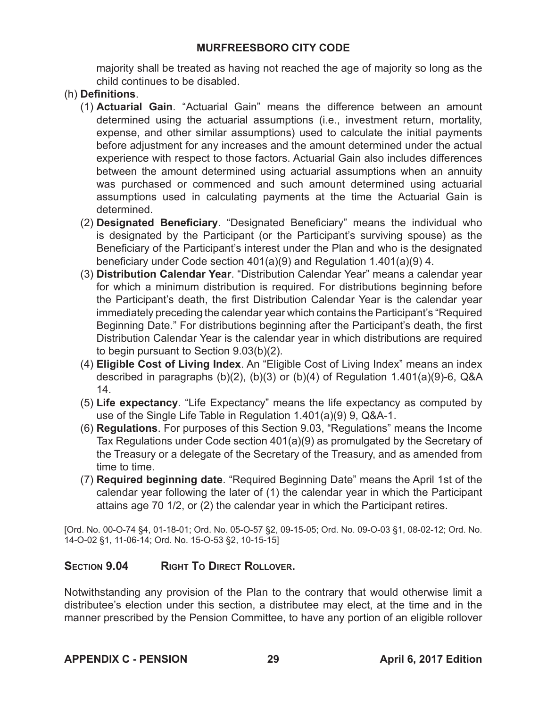majority shall be treated as having not reached the age of majority so long as the child continues to be disabled.

## (h) **Definitions**.

- (1) **Actuarial Gain**. "Actuarial Gain" means the difference between an amount determined using the actuarial assumptions (i.e., investment return, mortality, expense, and other similar assumptions) used to calculate the initial payments before adjustment for any increases and the amount determined under the actual experience with respect to those factors. Actuarial Gain also includes differences between the amount determined using actuarial assumptions when an annuity was purchased or commenced and such amount determined using actuarial assumptions used in calculating payments at the time the Actuarial Gain is determined.
- (2) **Designated Beneficiary**. "Designated Beneficiary" means the individual who is designated by the Participant (or the Participant's surviving spouse) as the Beneficiary of the Participant's interest under the Plan and who is the designated beneficiary under Code section 401(a)(9) and Regulation 1.401(a)(9) 4.
- (3) **Distribution Calendar Year**. "Distribution Calendar Year" means a calendar year for which a minimum distribution is required. For distributions beginning before the Participant's death, the first Distribution Calendar Year is the calendar year immediately preceding the calendar year which contains the Participant's "Required Beginning Date." For distributions beginning after the Participant's death, the first Distribution Calendar Year is the calendar year in which distributions are required to begin pursuant to Section 9.03(b)(2).
- (4) **Eligible Cost of Living Index**. An "Eligible Cost of Living Index" means an index described in paragraphs (b)(2), (b)(3) or (b)(4) of Regulation 1.401(a)(9)-6, Q&A 14.
- (5) **Life expectancy**. "Life Expectancy" means the life expectancy as computed by use of the Single Life Table in Regulation 1.401(a)(9) 9, Q&A-1.
- (6) **Regulations**. For purposes of this Section 9.03, "Regulations" means the Income Tax Regulations under Code section 401(a)(9) as promulgated by the Secretary of the Treasury or a delegate of the Secretary of the Treasury, and as amended from time to time.
- (7) **Required beginning date**. "Required Beginning Date" means the April 1st of the calendar year following the later of (1) the calendar year in which the Participant attains age 70 1/2, or (2) the calendar year in which the Participant retires.

[Ord. No. 00-O-74 §4, 01-18-01; Ord. No. 05-O-57 §2, 09-15-05; Ord. No. 09-O-03 §1, 08-02-12; Ord. No. 14-O-02 §1, 11-06-14; Ord. No. 15-O-53 §2, 10-15-15]

## **Section 9.04 Right To Direct Rollover.**

Notwithstanding any provision of the Plan to the contrary that would otherwise limit a distributee's election under this section, a distributee may elect, at the time and in the manner prescribed by the Pension Committee, to have any portion of an eligible rollover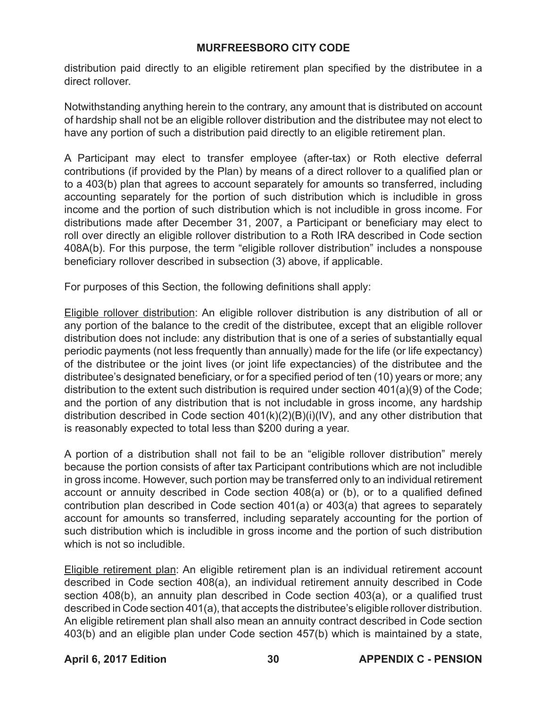distribution paid directly to an eligible retirement plan specified by the distributee in a direct rollover.

Notwithstanding anything herein to the contrary, any amount that is distributed on account of hardship shall not be an eligible rollover distribution and the distributee may not elect to have any portion of such a distribution paid directly to an eligible retirement plan.

A Participant may elect to transfer employee (after-tax) or Roth elective deferral contributions (if provided by the Plan) by means of a direct rollover to a qualified plan or to a 403(b) plan that agrees to account separately for amounts so transferred, including accounting separately for the portion of such distribution which is includible in gross income and the portion of such distribution which is not includible in gross income. For distributions made after December 31, 2007, a Participant or beneficiary may elect to roll over directly an eligible rollover distribution to a Roth IRA described in Code section 408A(b). For this purpose, the term "eligible rollover distribution" includes a nonspouse beneficiary rollover described in subsection (3) above, if applicable.

For purposes of this Section, the following definitions shall apply:

Eligible rollover distribution: An eligible rollover distribution is any distribution of all or any portion of the balance to the credit of the distributee, except that an eligible rollover distribution does not include: any distribution that is one of a series of substantially equal periodic payments (not less frequently than annually) made for the life (or life expectancy) of the distributee or the joint lives (or joint life expectancies) of the distributee and the distributee's designated beneficiary, or for a specified period of ten (10) years or more; any distribution to the extent such distribution is required under section 401(a)(9) of the Code; and the portion of any distribution that is not includable in gross income, any hardship distribution described in Code section 401(k)(2)(B)(i)(IV), and any other distribution that is reasonably expected to total less than \$200 during a year.

A portion of a distribution shall not fail to be an "eligible rollover distribution" merely because the portion consists of after tax Participant contributions which are not includible in gross income. However, such portion may be transferred only to an individual retirement account or annuity described in Code section 408(a) or (b), or to a qualified defined contribution plan described in Code section 401(a) or 403(a) that agrees to separately account for amounts so transferred, including separately accounting for the portion of such distribution which is includible in gross income and the portion of such distribution which is not so includible.

Eligible retirement plan: An eligible retirement plan is an individual retirement account described in Code section 408(a), an individual retirement annuity described in Code section 408(b), an annuity plan described in Code section 403(a), or a qualified trust described in Code section 401(a), that accepts the distributee's eligible rollover distribution. An eligible retirement plan shall also mean an annuity contract described in Code section 403(b) and an eligible plan under Code section 457(b) which is maintained by a state,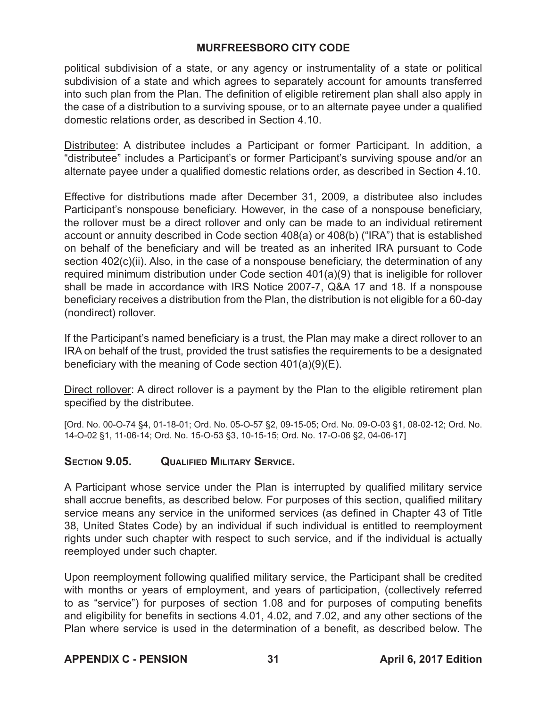political subdivision of a state, or any agency or instrumentality of a state or political subdivision of a state and which agrees to separately account for amounts transferred into such plan from the Plan. The definition of eligible retirement plan shall also apply in the case of a distribution to a surviving spouse, or to an alternate payee under a qualified domestic relations order, as described in Section 4.10.

Distributee: A distributee includes a Participant or former Participant. In addition, a "distributee" includes a Participant's or former Participant's surviving spouse and/or an alternate payee under a qualified domestic relations order, as described in Section 4.10.

Effective for distributions made after December 31, 2009, a distributee also includes Participant's nonspouse beneficiary. However, in the case of a nonspouse beneficiary, the rollover must be a direct rollover and only can be made to an individual retirement account or annuity described in Code section 408(a) or 408(b) ("IRA") that is established on behalf of the beneficiary and will be treated as an inherited IRA pursuant to Code section 402(c)(ii). Also, in the case of a nonspouse beneficiary, the determination of any required minimum distribution under Code section 401(a)(9) that is ineligible for rollover shall be made in accordance with IRS Notice 2007-7, Q&A 17 and 18. If a nonspouse beneficiary receives a distribution from the Plan, the distribution is not eligible for a 60-day (nondirect) rollover.

If the Participant's named beneficiary is a trust, the Plan may make a direct rollover to an IRA on behalf of the trust, provided the trust satisfies the requirements to be a designated beneficiary with the meaning of Code section 401(a)(9)(E).

Direct rollover: A direct rollover is a payment by the Plan to the eligible retirement plan specified by the distributee.

[Ord. No. 00-O-74 §4, 01-18-01; Ord. No. 05-O-57 §2, 09-15-05; Ord. No. 09-O-03 §1, 08-02-12; Ord. No. 14-O-02 §1, 11-06-14; Ord. No. 15-O-53 §3, 10-15-15; Ord. No. 17-O-06 §2, 04-06-17]

## **Section 9.05. Qualified Military Service.**

A Participant whose service under the Plan is interrupted by qualified military service shall accrue benefits, as described below. For purposes of this section, qualified military service means any service in the uniformed services (as defined in Chapter 43 of Title 38, United States Code) by an individual if such individual is entitled to reemployment rights under such chapter with respect to such service, and if the individual is actually reemployed under such chapter.

Upon reemployment following qualified military service, the Participant shall be credited with months or years of employment, and years of participation, (collectively referred to as "service") for purposes of section 1.08 and for purposes of computing benefits and eligibility for benefits in sections 4.01, 4.02, and 7.02, and any other sections of the Plan where service is used in the determination of a benefit, as described below. The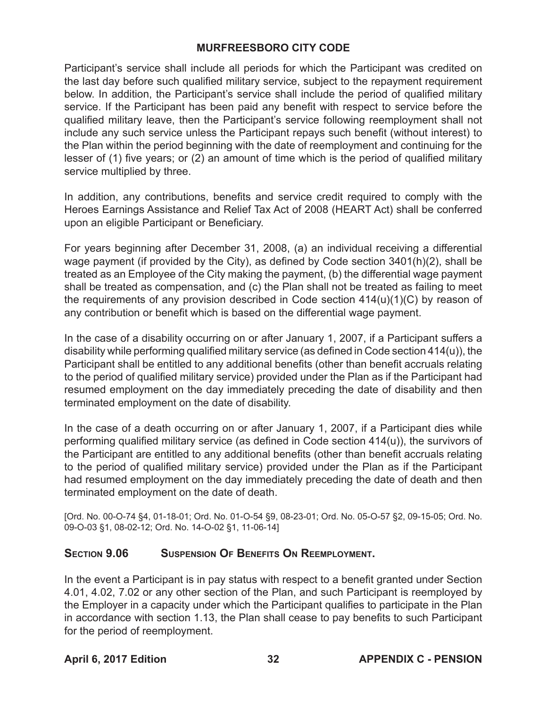Participant's service shall include all periods for which the Participant was credited on the last day before such qualified military service, subject to the repayment requirement below. In addition, the Participant's service shall include the period of qualified military service. If the Participant has been paid any benefit with respect to service before the qualified military leave, then the Participant's service following reemployment shall not include any such service unless the Participant repays such benefit (without interest) to the Plan within the period beginning with the date of reemployment and continuing for the lesser of (1) five years; or (2) an amount of time which is the period of qualified military service multiplied by three.

In addition, any contributions, benefits and service credit required to comply with the Heroes Earnings Assistance and Relief Tax Act of 2008 (HEART Act) shall be conferred upon an eligible Participant or Beneficiary.

For years beginning after December 31, 2008, (a) an individual receiving a differential wage payment (if provided by the City), as defined by Code section 3401(h)(2), shall be treated as an Employee of the City making the payment, (b) the differential wage payment shall be treated as compensation, and (c) the Plan shall not be treated as failing to meet the requirements of any provision described in Code section 414(u)(1)(C) by reason of any contribution or benefit which is based on the differential wage payment.

In the case of a disability occurring on or after January 1, 2007, if a Participant suffers a disability while performing qualified military service (as defined in Code section 414(u)), the Participant shall be entitled to any additional benefits (other than benefit accruals relating to the period of qualified military service) provided under the Plan as if the Participant had resumed employment on the day immediately preceding the date of disability and then terminated employment on the date of disability.

In the case of a death occurring on or after January 1, 2007, if a Participant dies while performing qualified military service (as defined in Code section 414(u)), the survivors of the Participant are entitled to any additional benefits (other than benefit accruals relating to the period of qualified military service) provided under the Plan as if the Participant had resumed employment on the day immediately preceding the date of death and then terminated employment on the date of death.

[Ord. No. 00-O-74 §4, 01-18-01; Ord. No. 01-O-54 §9, 08-23-01; Ord. No. 05-O-57 §2, 09-15-05; Ord. No. 09-O-03 §1, 08-02-12; Ord. No. 14-O-02 §1, 11-06-14]

## **Section 9.06 Suspension Of Benefits On Reemployment.**

In the event a Participant is in pay status with respect to a benefit granted under Section 4.01, 4.02, 7.02 or any other section of the Plan, and such Participant is reemployed by the Employer in a capacity under which the Participant qualifies to participate in the Plan in accordance with section 1.13, the Plan shall cease to pay benefits to such Participant for the period of reemployment.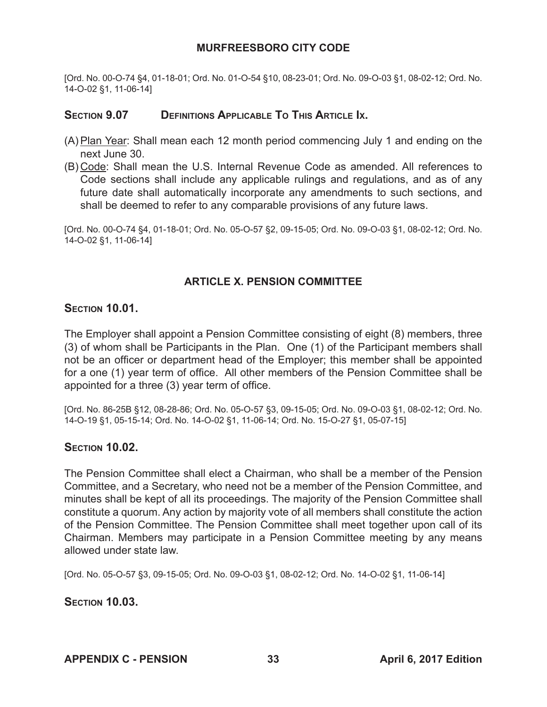[Ord. No. 00-O-74 §4, 01-18-01; Ord. No. 01-O-54 §10, 08-23-01; Ord. No. 09-O-03 §1, 08-02-12; Ord. No. 14-O-02 §1, 11-06-14]

## **Section 9.07 Definitions Applicable To This Article Ix.**

- (A) Plan Year: Shall mean each 12 month period commencing July 1 and ending on the next June 30.
- (B) Code: Shall mean the U.S. Internal Revenue Code as amended. All references to Code sections shall include any applicable rulings and regulations, and as of any future date shall automatically incorporate any amendments to such sections, and shall be deemed to refer to any comparable provisions of any future laws.

[Ord. No. 00-O-74 §4, 01-18-01; Ord. No. 05-O-57 §2, 09-15-05; Ord. No. 09-O-03 §1, 08-02-12; Ord. No. 14-O-02 §1, 11-06-14]

## **ARTICLE X. PENSION COMMITTEE**

#### **Section 10.01.**

The Employer shall appoint a Pension Committee consisting of eight (8) members, three (3) of whom shall be Participants in the Plan. One (1) of the Participant members shall not be an officer or department head of the Employer; this member shall be appointed for a one (1) year term of office. All other members of the Pension Committee shall be appointed for a three (3) year term of office.

[Ord. No. 86-25B §12, 08-28-86; Ord. No. 05-O-57 §3, 09-15-05; Ord. No. 09-O-03 §1, 08-02-12; Ord. No. 14-O-19 §1, 05-15-14; Ord. No. 14-O-02 §1, 11-06-14; Ord. No. 15-O-27 §1, 05-07-15]

## **Section 10.02.**

The Pension Committee shall elect a Chairman, who shall be a member of the Pension Committee, and a Secretary, who need not be a member of the Pension Committee, and minutes shall be kept of all its proceedings. The majority of the Pension Committee shall constitute a quorum. Any action by majority vote of all members shall constitute the action of the Pension Committee. The Pension Committee shall meet together upon call of its Chairman. Members may participate in a Pension Committee meeting by any means allowed under state law.

[Ord. No. 05-O-57 §3, 09-15-05; Ord. No. 09-O-03 §1, 08-02-12; Ord. No. 14-O-02 §1, 11-06-14]

**Section 10.03.**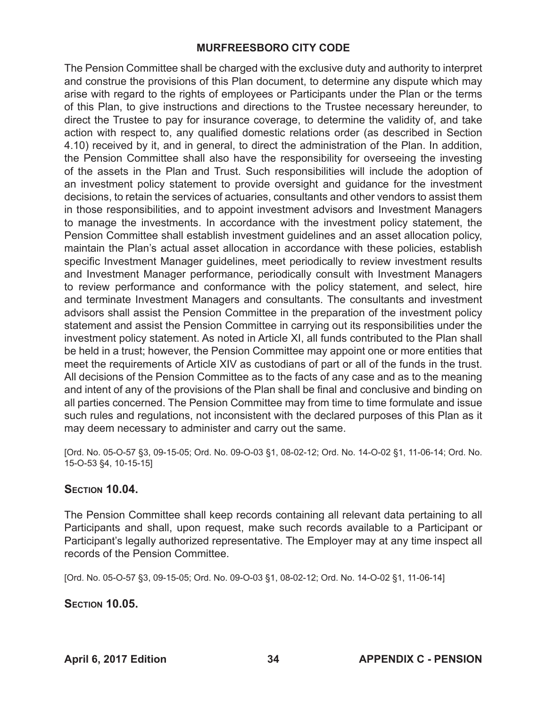The Pension Committee shall be charged with the exclusive duty and authority to interpret and construe the provisions of this Plan document, to determine any dispute which may arise with regard to the rights of employees or Participants under the Plan or the terms of this Plan, to give instructions and directions to the Trustee necessary hereunder, to direct the Trustee to pay for insurance coverage, to determine the validity of, and take action with respect to, any qualified domestic relations order (as described in Section 4.10) received by it, and in general, to direct the administration of the Plan. In addition, the Pension Committee shall also have the responsibility for overseeing the investing of the assets in the Plan and Trust. Such responsibilities will include the adoption of an investment policy statement to provide oversight and guidance for the investment decisions, to retain the services of actuaries, consultants and other vendors to assist them in those responsibilities, and to appoint investment advisors and Investment Managers to manage the investments. In accordance with the investment policy statement, the Pension Committee shall establish investment guidelines and an asset allocation policy, maintain the Plan's actual asset allocation in accordance with these policies, establish specific Investment Manager guidelines, meet periodically to review investment results and Investment Manager performance, periodically consult with Investment Managers to review performance and conformance with the policy statement, and select, hire and terminate Investment Managers and consultants. The consultants and investment advisors shall assist the Pension Committee in the preparation of the investment policy statement and assist the Pension Committee in carrying out its responsibilities under the investment policy statement. As noted in Article XI, all funds contributed to the Plan shall be held in a trust; however, the Pension Committee may appoint one or more entities that meet the requirements of Article XIV as custodians of part or all of the funds in the trust. All decisions of the Pension Committee as to the facts of any case and as to the meaning and intent of any of the provisions of the Plan shall be final and conclusive and binding on all parties concerned. The Pension Committee may from time to time formulate and issue such rules and regulations, not inconsistent with the declared purposes of this Plan as it may deem necessary to administer and carry out the same.

[Ord. No. 05-O-57 §3, 09-15-05; Ord. No. 09-O-03 §1, 08-02-12; Ord. No. 14-O-02 §1, 11-06-14; Ord. No. 15-O-53 §4, 10-15-15]

## **Section 10.04.**

The Pension Committee shall keep records containing all relevant data pertaining to all Participants and shall, upon request, make such records available to a Participant or Participant's legally authorized representative. The Employer may at any time inspect all records of the Pension Committee.

[Ord. No. 05-O-57 §3, 09-15-05; Ord. No. 09-O-03 §1, 08-02-12; Ord. No. 14-O-02 §1, 11-06-14]

**Section 10.05.**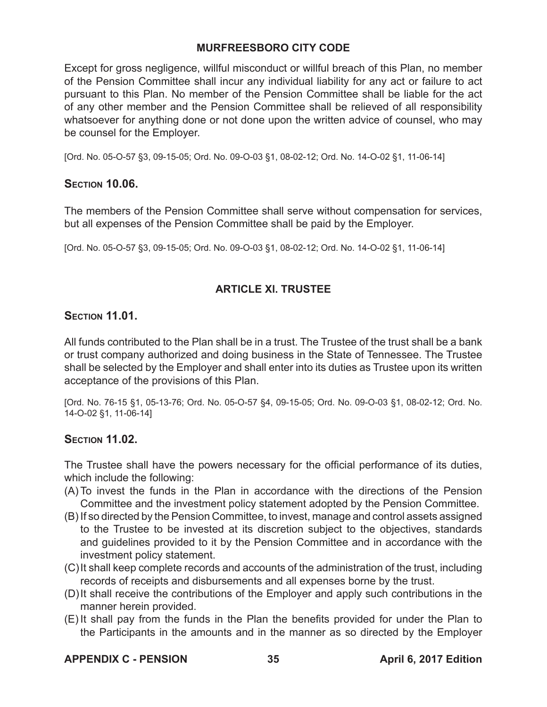Except for gross negligence, willful misconduct or willful breach of this Plan, no member of the Pension Committee shall incur any individual liability for any act or failure to act pursuant to this Plan. No member of the Pension Committee shall be liable for the act of any other member and the Pension Committee shall be relieved of all responsibility whatsoever for anything done or not done upon the written advice of counsel, who may be counsel for the Employer.

[Ord. No. 05-O-57 §3, 09-15-05; Ord. No. 09-O-03 §1, 08-02-12; Ord. No. 14-O-02 §1, 11-06-14]

## **Section 10.06.**

The members of the Pension Committee shall serve without compensation for services, but all expenses of the Pension Committee shall be paid by the Employer.

[Ord. No. 05-O-57 §3, 09-15-05; Ord. No. 09-O-03 §1, 08-02-12; Ord. No. 14-O-02 §1, 11-06-14]

## **ARTICLE Xl. TRUSTEE**

## **Section 11.01.**

All funds contributed to the Plan shall be in a trust. The Trustee of the trust shall be a bank or trust company authorized and doing business in the State of Tennessee. The Trustee shall be selected by the Employer and shall enter into its duties as Trustee upon its written acceptance of the provisions of this Plan.

[Ord. No. 76-15 §1, 05-13-76; Ord. No. 05-O-57 §4, 09-15-05; Ord. No. 09-O-03 §1, 08-02-12; Ord. No. 14-O-02 §1, 11-06-14]

## **Section 11.02.**

The Trustee shall have the powers necessary for the official performance of its duties, which include the following:

- (A) To invest the funds in the Plan in accordance with the directions of the Pension Committee and the investment policy statement adopted by the Pension Committee.
- (B) If so directed by the Pension Committee, to invest, manage and control assets assigned to the Trustee to be invested at its discretion subject to the objectives, standards and guidelines provided to it by the Pension Committee and in accordance with the investment policy statement.
- (C)It shall keep complete records and accounts of the administration of the trust, including records of receipts and disbursements and all expenses borne by the trust.
- (D)It shall receive the contributions of the Employer and apply such contributions in the manner herein provided.
- (E) It shall pay from the funds in the Plan the benefits provided for under the Plan to the Participants in the amounts and in the manner as so directed by the Employer

## **APPENDIX C - PENSION 35 April 6, 2017 Edition**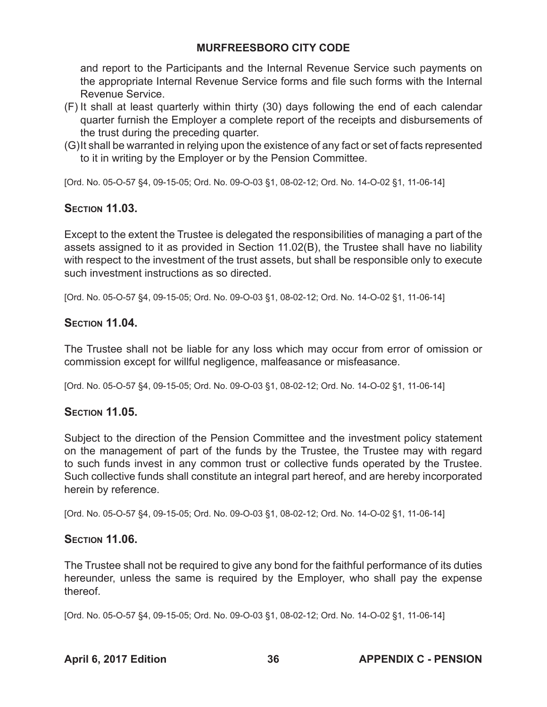and report to the Participants and the Internal Revenue Service such payments on the appropriate Internal Revenue Service forms and file such forms with the Internal Revenue Service.

- (F) It shall at least quarterly within thirty (30) days following the end of each calendar quarter furnish the Employer a complete report of the receipts and disbursements of the trust during the preceding quarter.
- (G)It shall be warranted in relying upon the existence of any fact or set of facts represented to it in writing by the Employer or by the Pension Committee.

[Ord. No. 05-O-57 §4, 09-15-05; Ord. No. 09-O-03 §1, 08-02-12; Ord. No. 14-O-02 §1, 11-06-14]

# **Section 11.03.**

Except to the extent the Trustee is delegated the responsibilities of managing a part of the assets assigned to it as provided in Section 11.02(B), the Trustee shall have no liability with respect to the investment of the trust assets, but shall be responsible only to execute such investment instructions as so directed.

[Ord. No. 05-O-57 §4, 09-15-05; Ord. No. 09-O-03 §1, 08-02-12; Ord. No. 14-O-02 §1, 11-06-14]

# **Section 11.04.**

The Trustee shall not be liable for any loss which may occur from error of omission or commission except for willful negligence, malfeasance or misfeasance.

[Ord. No. 05-O-57 §4, 09-15-05; Ord. No. 09-O-03 §1, 08-02-12; Ord. No. 14-O-02 §1, 11-06-14]

## **Section 11.05.**

Subject to the direction of the Pension Committee and the investment policy statement on the management of part of the funds by the Trustee, the Trustee may with regard to such funds invest in any common trust or collective funds operated by the Trustee. Such collective funds shall constitute an integral part hereof, and are hereby incorporated herein by reference.

[Ord. No. 05-O-57 §4, 09-15-05; Ord. No. 09-O-03 §1, 08-02-12; Ord. No. 14-O-02 §1, 11-06-14]

## **Section 11.06.**

The Trustee shall not be required to give any bond for the faithful performance of its duties hereunder, unless the same is required by the Employer, who shall pay the expense thereof.

[Ord. No. 05-O-57 §4, 09-15-05; Ord. No. 09-O-03 §1, 08-02-12; Ord. No. 14-O-02 §1, 11-06-14]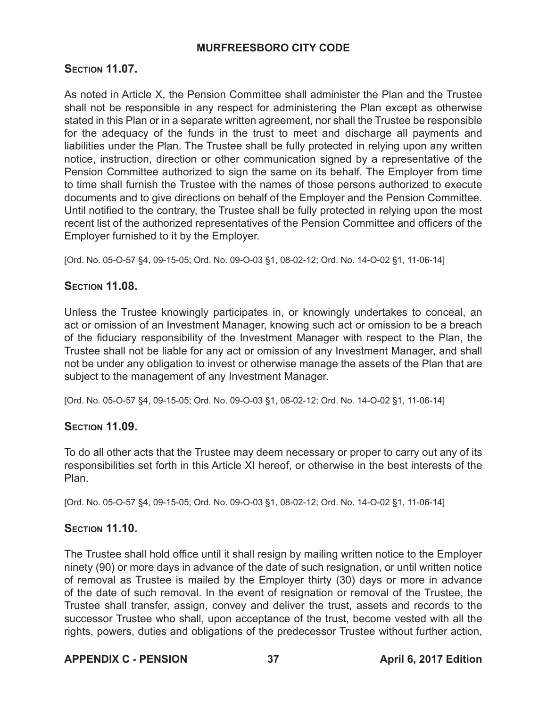## **Section 11.07.**

As noted in Article X, the Pension Committee shall administer the Plan and the Trustee shall not be responsible in any respect for administering the Plan except as otherwise stated in this Plan or in a separate written agreement, nor shall the Trustee be responsible for the adequacy of the funds in the trust to meet and discharge all payments and liabilities under the Plan. The Trustee shall be fully protected in relying upon any written notice, instruction, direction or other communication signed by a representative of the Pension Committee authorized to sign the same on its behalf. The Employer from time to time shall furnish the Trustee with the names of those persons authorized to execute documents and to give directions on behalf of the Employer and the Pension Committee. Until notified to the contrary, the Trustee shall be fully protected in relying upon the most recent list of the authorized representatives of the Pension Committee and officers of the Employer furnished to it by the Employer.

[Ord. No. 05-O-57 §4, 09-15-05; Ord. No. 09-O-03 §1, 08-02-12; Ord. No. 14-O-02 §1, 11-06-14]

## **Section 11.08.**

Unless the Trustee knowingly participates in, or knowingly undertakes to conceal, an act or omission of an Investment Manager, knowing such act or omission to be a breach of the fiduciary responsibility of the Investment Manager with respect to the Plan, the Trustee shall not be liable for any act or omission of any Investment Manager, and shall not be under any obligation to invest or otherwise manage the assets of the Plan that are subject to the management of any Investment Manager.

[Ord. No. 05-O-57 §4, 09-15-05; Ord. No. 09-O-03 §1, 08-02-12; Ord. No. 14-O-02 §1, 11-06-14]

## **Section 11.09.**

To do all other acts that the Trustee may deem necessary or proper to carry out any of its responsibilities set forth in this Article XI hereof, or otherwise in the best interests of the Plan.

[Ord. No. 05-O-57 §4, 09-15-05; Ord. No. 09-O-03 §1, 08-02-12; Ord. No. 14-O-02 §1, 11-06-14]

## **Section 11.10.**

The Trustee shall hold office until it shall resign by mailing written notice to the Employer ninety (90) or more days in advance of the date of such resignation, or until written notice of removal as Trustee is mailed by the Employer thirty (30) days or more in advance of the date of such removal. In the event of resignation or removal of the Trustee, the Trustee shall transfer, assign, convey and deliver the trust, assets and records to the successor Trustee who shall, upon acceptance of the trust, become vested with all the rights, powers, duties and obligations of the predecessor Trustee without further action,

## **APPENDIX C - PENSION 37 April 6, 2017 Edition**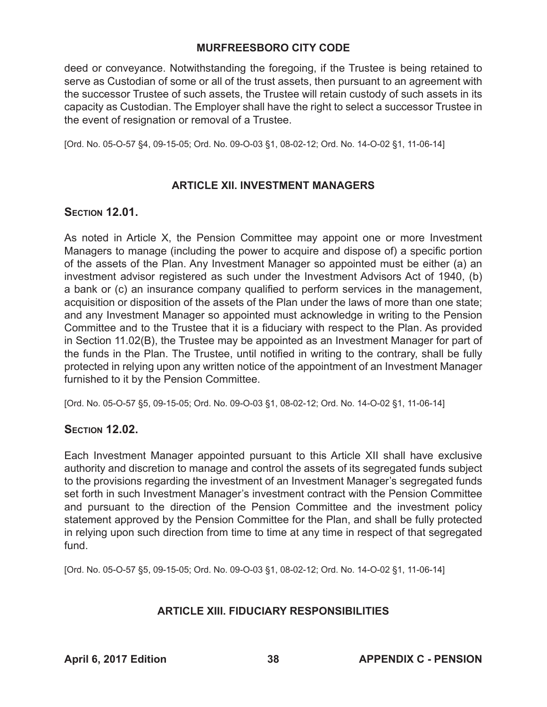deed or conveyance. Notwithstanding the foregoing, if the Trustee is being retained to serve as Custodian of some or all of the trust assets, then pursuant to an agreement with the successor Trustee of such assets, the Trustee will retain custody of such assets in its capacity as Custodian. The Employer shall have the right to select a successor Trustee in the event of resignation or removal of a Trustee.

[Ord. No. 05-O-57 §4, 09-15-05; Ord. No. 09-O-03 §1, 08-02-12; Ord. No. 14-O-02 §1, 11-06-14]

## **ARTICLE XII. INVESTMENT MANAGERS**

## **Section 12.01.**

As noted in Article X, the Pension Committee may appoint one or more Investment Managers to manage (including the power to acquire and dispose of) a specific portion of the assets of the Plan. Any Investment Manager so appointed must be either (a) an investment advisor registered as such under the Investment Advisors Act of 1940, (b) a bank or (c) an insurance company qualified to perform services in the management, acquisition or disposition of the assets of the Plan under the laws of more than one state; and any Investment Manager so appointed must acknowledge in writing to the Pension Committee and to the Trustee that it is a fiduciary with respect to the Plan. As provided in Section 11.02(B), the Trustee may be appointed as an Investment Manager for part of the funds in the Plan. The Trustee, until notified in writing to the contrary, shall be fully protected in relying upon any written notice of the appointment of an Investment Manager furnished to it by the Pension Committee.

[Ord. No. 05-O-57 §5, 09-15-05; Ord. No. 09-O-03 §1, 08-02-12; Ord. No. 14-O-02 §1, 11-06-14]

## **Section 12.02.**

Each Investment Manager appointed pursuant to this Article XII shall have exclusive authority and discretion to manage and control the assets of its segregated funds subject to the provisions regarding the investment of an Investment Manager's segregated funds set forth in such Investment Manager's investment contract with the Pension Committee and pursuant to the direction of the Pension Committee and the investment policy statement approved by the Pension Committee for the Plan, and shall be fully protected in relying upon such direction from time to time at any time in respect of that segregated fund.

[Ord. No. 05-O-57 §5, 09-15-05; Ord. No. 09-O-03 §1, 08-02-12; Ord. No. 14-O-02 §1, 11-06-14]

## **ARTICLE XIII. FIDUCIARY RESPONSIBILITIES**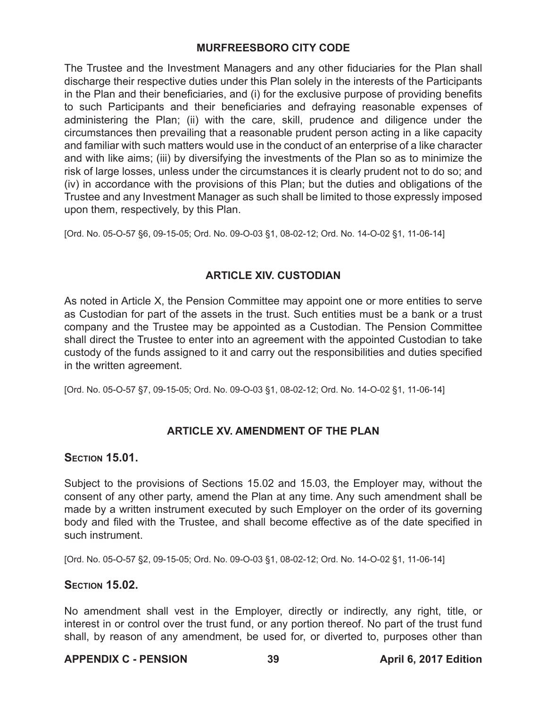The Trustee and the Investment Managers and any other fiduciaries for the Plan shall discharge their respective duties under this Plan solely in the interests of the Participants in the Plan and their beneficiaries, and (i) for the exclusive purpose of providing benefits to such Participants and their beneficiaries and defraying reasonable expenses of administering the Plan; (ii) with the care, skill, prudence and diligence under the circumstances then prevailing that a reasonable prudent person acting in a like capacity and familiar with such matters would use in the conduct of an enterprise of a like character and with like aims; (iii) by diversifying the investments of the Plan so as to minimize the risk of large losses, unless under the circumstances it is clearly prudent not to do so; and (iv) in accordance with the provisions of this Plan; but the duties and obligations of the Trustee and any Investment Manager as such shall be limited to those expressly imposed upon them, respectively, by this Plan.

[Ord. No. 05-O-57 §6, 09-15-05; Ord. No. 09-O-03 §1, 08-02-12; Ord. No. 14-O-02 §1, 11-06-14]

## **ARTICLE XIV. CUSTODIAN**

As noted in Article X, the Pension Committee may appoint one or more entities to serve as Custodian for part of the assets in the trust. Such entities must be a bank or a trust company and the Trustee may be appointed as a Custodian. The Pension Committee shall direct the Trustee to enter into an agreement with the appointed Custodian to take custody of the funds assigned to it and carry out the responsibilities and duties specified in the written agreement.

[Ord. No. 05-O-57 §7, 09-15-05; Ord. No. 09-O-03 §1, 08-02-12; Ord. No. 14-O-02 §1, 11-06-14]

## **ARTICLE XV. AMENDMENT OF THE PLAN**

## **Section 15.01.**

Subject to the provisions of Sections 15.02 and 15.03, the Employer may, without the consent of any other party, amend the Plan at any time. Any such amendment shall be made by a written instrument executed by such Employer on the order of its governing body and filed with the Trustee, and shall become effective as of the date specified in such instrument.

[Ord. No. 05-O-57 §2, 09-15-05; Ord. No. 09-O-03 §1, 08-02-12; Ord. No. 14-O-02 §1, 11-06-14]

## **Section 15.02.**

No amendment shall vest in the Employer, directly or indirectly, any right, title, or interest in or control over the trust fund, or any portion thereof. No part of the trust fund shall, by reason of any amendment, be used for, or diverted to, purposes other than

## **APPENDIX C - PENSION 39 April 6, 2017 Edition**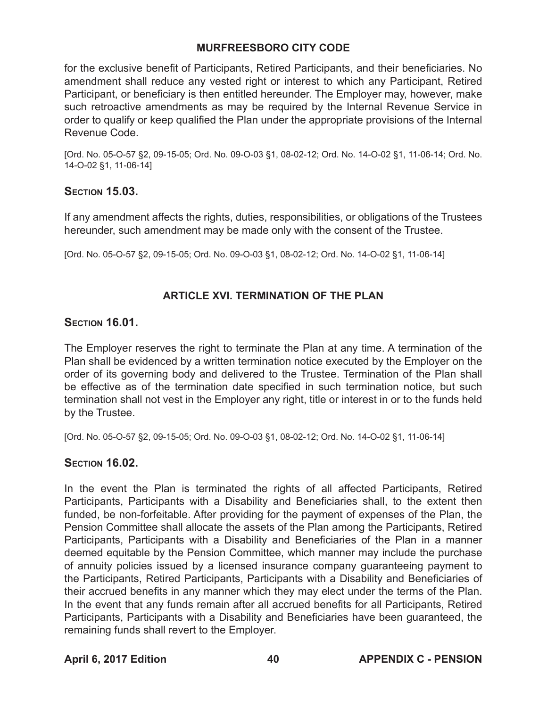for the exclusive benefit of Participants, Retired Participants, and their beneficiaries. No amendment shall reduce any vested right or interest to which any Participant, Retired Participant, or beneficiary is then entitled hereunder. The Employer may, however, make such retroactive amendments as may be required by the Internal Revenue Service in order to qualify or keep qualified the Plan under the appropriate provisions of the Internal Revenue Code.

[Ord. No. 05-O-57 §2, 09-15-05; Ord. No. 09-O-03 §1, 08-02-12; Ord. No. 14-O-02 §1, 11-06-14; Ord. No. 14-O-02 §1, 11-06-14]

## **Section 15.03.**

If any amendment affects the rights, duties, responsibilities, or obligations of the Trustees hereunder, such amendment may be made only with the consent of the Trustee.

[Ord. No. 05-O-57 §2, 09-15-05; Ord. No. 09-O-03 §1, 08-02-12; Ord. No. 14-O-02 §1, 11-06-14]

## **ARTICLE XVI. TERMINATION OF THE PLAN**

## **Section 16.01.**

The Employer reserves the right to terminate the Plan at any time. A termination of the Plan shall be evidenced by a written termination notice executed by the Employer on the order of its governing body and delivered to the Trustee. Termination of the Plan shall be effective as of the termination date specified in such termination notice, but such termination shall not vest in the Employer any right, title or interest in or to the funds held by the Trustee.

[Ord. No. 05-O-57 §2, 09-15-05; Ord. No. 09-O-03 §1, 08-02-12; Ord. No. 14-O-02 §1, 11-06-14]

## **Section 16.02.**

In the event the Plan is terminated the rights of all affected Participants, Retired Participants, Participants with a Disability and Beneficiaries shall, to the extent then funded, be non-forfeitable. After providing for the payment of expenses of the Plan, the Pension Committee shall allocate the assets of the Plan among the Participants, Retired Participants, Participants with a Disability and Beneficiaries of the Plan in a manner deemed equitable by the Pension Committee, which manner may include the purchase of annuity policies issued by a licensed insurance company guaranteeing payment to the Participants, Retired Participants, Participants with a Disability and Beneficiaries of their accrued benefits in any manner which they may elect under the terms of the Plan. In the event that any funds remain after all accrued benefits for all Participants, Retired Participants, Participants with a Disability and Beneficiaries have been guaranteed, the remaining funds shall revert to the Employer.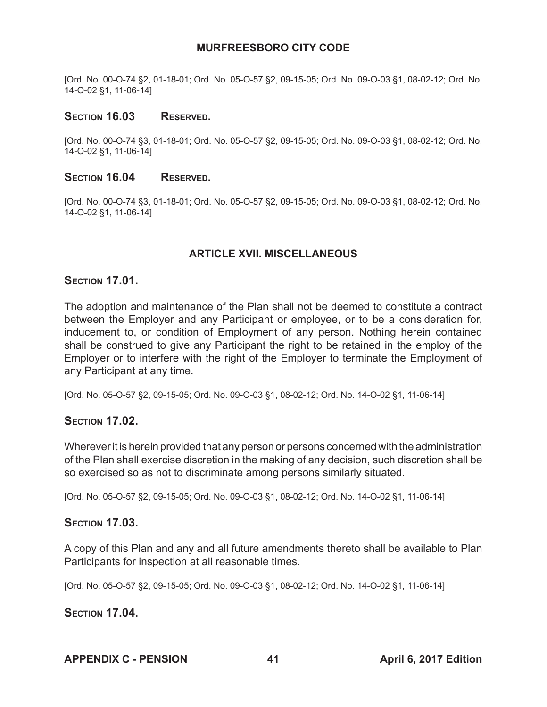[Ord. No. 00-O-74 §2, 01-18-01; Ord. No. 05-O-57 §2, 09-15-05; Ord. No. 09-O-03 §1, 08-02-12; Ord. No. 14-O-02 §1, 11-06-14]

#### Section 16.03 Reserved.

[Ord. No. 00-O-74 §3, 01-18-01; Ord. No. 05-O-57 §2, 09-15-05; Ord. No. 09-O-03 §1, 08-02-12; Ord. No. 14-O-02 §1, 11-06-14]

#### SECTION 16.04 RESERVED.

[Ord. No. 00-O-74 §3, 01-18-01; Ord. No. 05-O-57 §2, 09-15-05; Ord. No. 09-O-03 §1, 08-02-12; Ord. No. 14-O-02 §1, 11-06-14]

## **ARTICLE XVII. MISCELLANEOUS**

#### **Section 17.01.**

The adoption and maintenance of the Plan shall not be deemed to constitute a contract between the Employer and any Participant or employee, or to be a consideration for, inducement to, or condition of Employment of any person. Nothing herein contained shall be construed to give any Participant the right to be retained in the employ of the Employer or to interfere with the right of the Employer to terminate the Employment of any Participant at any time.

[Ord. No. 05-O-57 §2, 09-15-05; Ord. No. 09-O-03 §1, 08-02-12; Ord. No. 14-O-02 §1, 11-06-14]

#### **Section 17.02.**

Wherever it is herein provided that any person or persons concerned with the administration of the Plan shall exercise discretion in the making of any decision, such discretion shall be so exercised so as not to discriminate among persons similarly situated.

[Ord. No. 05-O-57 §2, 09-15-05; Ord. No. 09-O-03 §1, 08-02-12; Ord. No. 14-O-02 §1, 11-06-14]

#### **Section 17.03.**

A copy of this Plan and any and all future amendments thereto shall be available to Plan Participants for inspection at all reasonable times.

[Ord. No. 05-O-57 §2, 09-15-05; Ord. No. 09-O-03 §1, 08-02-12; Ord. No. 14-O-02 §1, 11-06-14]

#### **Section 17.04.**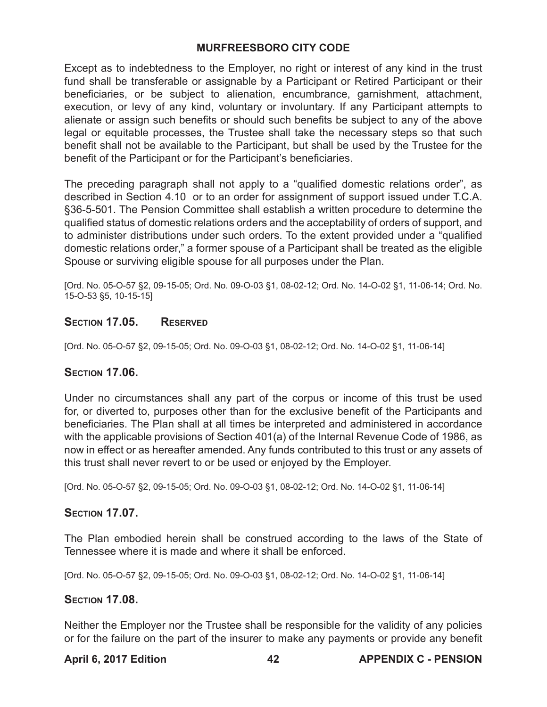Except as to indebtedness to the Employer, no right or interest of any kind in the trust fund shall be transferable or assignable by a Participant or Retired Participant or their beneficiaries, or be subject to alienation, encumbrance, garnishment, attachment, execution, or levy of any kind, voluntary or involuntary. If any Participant attempts to alienate or assign such benefits or should such benefits be subject to any of the above legal or equitable processes, the Trustee shall take the necessary steps so that such benefit shall not be available to the Participant, but shall be used by the Trustee for the benefit of the Participant or for the Participant's beneficiaries.

The preceding paragraph shall not apply to a "qualified domestic relations order", as described in Section 4.10 or to an order for assignment of support issued under T.C.A. §36-5-501. The Pension Committee shall establish a written procedure to determine the qualified status of domestic relations orders and the acceptability of orders of support, and to administer distributions under such orders. To the extent provided under a "qualified domestic relations order," a former spouse of a Participant shall be treated as the eligible Spouse or surviving eligible spouse for all purposes under the Plan.

[Ord. No. 05-O-57 §2, 09-15-05; Ord. No. 09-O-03 §1, 08-02-12; Ord. No. 14-O-02 §1, 11-06-14; Ord. No. 15-O-53 §5, 10-15-15]

#### **SECTION 17.05. RESERVED**

[Ord. No. 05-O-57 §2, 09-15-05; Ord. No. 09-O-03 §1, 08-02-12; Ord. No. 14-O-02 §1, 11-06-14]

## **Section 17.06.**

Under no circumstances shall any part of the corpus or income of this trust be used for, or diverted to, purposes other than for the exclusive benefit of the Participants and beneficiaries. The Plan shall at all times be interpreted and administered in accordance with the applicable provisions of Section 401(a) of the Internal Revenue Code of 1986, as now in effect or as hereafter amended. Any funds contributed to this trust or any assets of this trust shall never revert to or be used or enjoyed by the Employer.

[Ord. No. 05-O-57 §2, 09-15-05; Ord. No. 09-O-03 §1, 08-02-12; Ord. No. 14-O-02 §1, 11-06-14]

#### **Section 17.07.**

The Plan embodied herein shall be construed according to the laws of the State of Tennessee where it is made and where it shall be enforced.

[Ord. No. 05-O-57 §2, 09-15-05; Ord. No. 09-O-03 §1, 08-02-12; Ord. No. 14-O-02 §1, 11-06-14]

## **Section 17.08.**

Neither the Employer nor the Trustee shall be responsible for the validity of any policies or for the failure on the part of the insurer to make any payments or provide any benefit

#### **April 6, 2017 Edition 42 APPENDIX C - PENSION**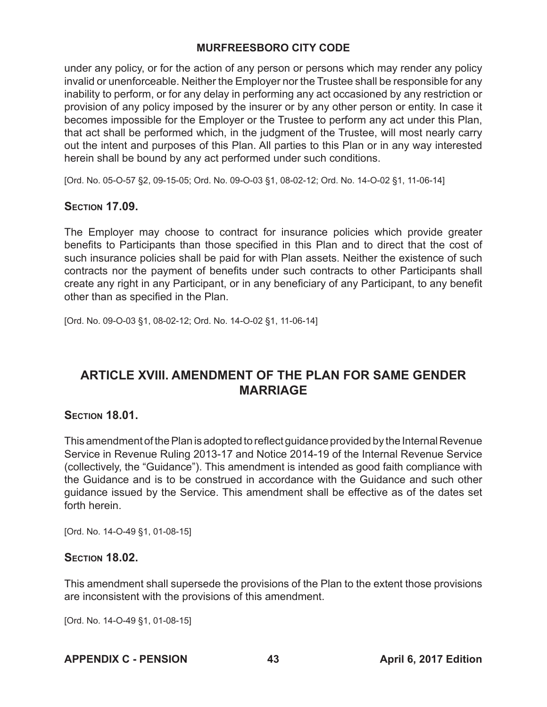under any policy, or for the action of any person or persons which may render any policy invalid or unenforceable. Neither the Employer nor the Trustee shall be responsible for any inability to perform, or for any delay in performing any act occasioned by any restriction or provision of any policy imposed by the insurer or by any other person or entity. In case it becomes impossible for the Employer or the Trustee to perform any act under this Plan, that act shall be performed which, in the judgment of the Trustee, will most nearly carry out the intent and purposes of this Plan. All parties to this Plan or in any way interested herein shall be bound by any act performed under such conditions.

[Ord. No. 05-O-57 §2, 09-15-05; Ord. No. 09-O-03 §1, 08-02-12; Ord. No. 14-O-02 §1, 11-06-14]

## **Section 17.09.**

The Employer may choose to contract for insurance policies which provide greater benefits to Participants than those specified in this Plan and to direct that the cost of such insurance policies shall be paid for with Plan assets. Neither the existence of such contracts nor the payment of benefits under such contracts to other Participants shall create any right in any Participant, or in any beneficiary of any Participant, to any benefit other than as specified in the Plan.

[Ord. No. 09-O-03 §1, 08-02-12; Ord. No. 14-O-02 §1, 11-06-14]

# **ARTICLE XVIII. AMENDMENT OF THE PLAN FOR SAME GENDER MARRIAGE**

## **Section 18.01.**

This amendment of the Plan is adopted to reflect guidance provided by the Internal Revenue Service in Revenue Ruling 2013-17 and Notice 2014-19 of the Internal Revenue Service (collectively, the "Guidance"). This amendment is intended as good faith compliance with the Guidance and is to be construed in accordance with the Guidance and such other guidance issued by the Service. This amendment shall be effective as of the dates set forth herein.

[Ord. No. 14-O-49 §1, 01-08-15]

## **Section 18.02.**

This amendment shall supersede the provisions of the Plan to the extent those provisions are inconsistent with the provisions of this amendment.

[Ord. No. 14-O-49 §1, 01-08-15]